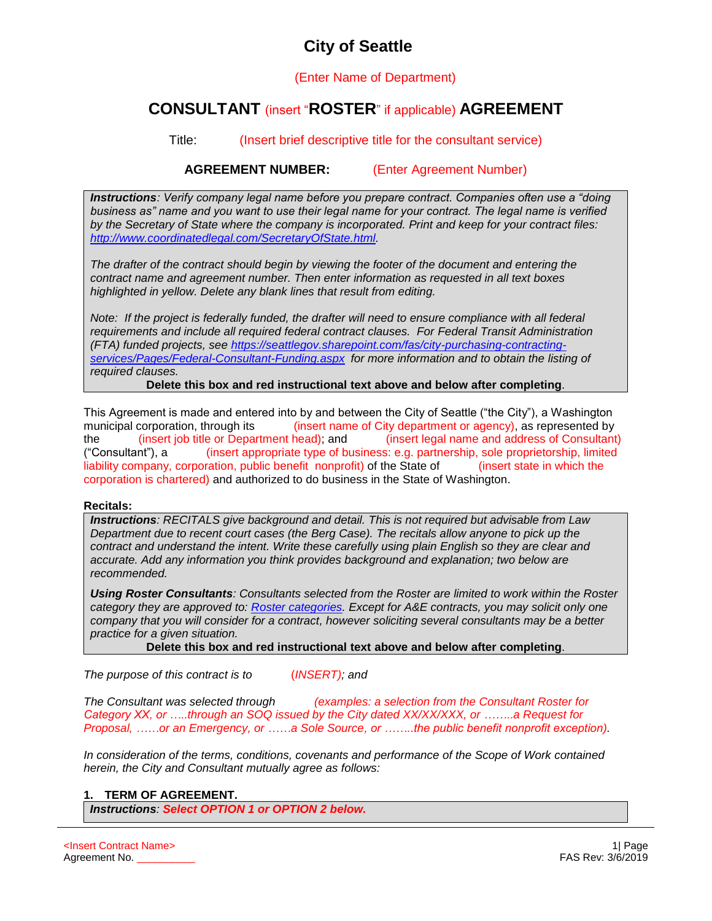# **City of Seattle**

(Enter Name of Department)

# **CONSULTANT** (insert "**ROSTER**" if applicable) **AGREEMENT**

Title: (Insert brief descriptive title for the consultant service)

**AGREEMENT NUMBER:** (Enter Agreement Number)

*Instructions: Verify company legal name before you prepare contract. Companies often use a "doing business as" name and you want to use their legal name for your contract. The legal name is verified by the Secretary of State where the company is incorporated. Print and keep for your contract files: [http://www.coordinatedlegal.com/SecretaryOfState.html.](http://www.coordinatedlegal.com/SecretaryOfState.html)*

*The drafter of the contract should begin by viewing the footer of the document and entering the contract name and agreement number. Then enter information as requested in all text boxes highlighted in yellow. Delete any blank lines that result from editing.* 

*Note: If the project is federally funded, the drafter will need to ensure compliance with all federal requirements and include all required federal contract clauses. For Federal Transit Administration (FTA) funded projects, see [https://seattlegov.sharepoint.com/fas/city-purchasing-contracting](https://seattlegov.sharepoint.com/fas/city-purchasing-contracting-services/Pages/Federal-Consultant-Funding.aspx)[services/Pages/Federal-Consultant-Funding.aspx](https://seattlegov.sharepoint.com/fas/city-purchasing-contracting-services/Pages/Federal-Consultant-Funding.aspx) for more information and to obtain the listing of required clauses.* 

**Delete this box and red instructional text above and below after completing**.

This Agreement is made and entered into by and between the City of Seattle ("the City"), a Washington municipal corporation, through its (insert name of City department or agency), as represented by the (insert job title or Department head); and (insert legal name and address of Consultant) ("Consultant"), a (insert appropriate type of business: e.g. partnership, sole proprietorship, limited liability company, corporation, public benefit nonprofit) of the State of (insert state in which the corporation is chartered) and authorized to do business in the State of Washington.

# **Recitals:**

*Instructions: RECITALS give background and detail. This is not required but advisable from Law Department due to recent court cases (the Berg Case). The recitals allow anyone to pick up the contract and understand the intent. Write these carefully using plain English so they are clear and accurate. Add any information you think provides background and explanation; two below are recommended.*

*Using Roster Consultants: Consultants selected from the Roster are limited to work within the Roster category they are approved to: [Roster categories.](http://fas/Registration/subcategorylist.aspx) Except for A&E contracts, you may solicit only one company that you will consider for a contract, however soliciting several consultants may be a better practice for a given situation.* 

**Delete this box and red instructional text above and below after completing**.

*The purpose of this contract is to* (*INSERT); and*

*The Consultant was selected through (examples: a selection from the Consultant Roster for Category XX, or …..through an SOQ issued by the City dated XX/XX/XXX, or ……..a Request for Proposal, ……or an Emergency, or ……a Sole Source, or ……..the public benefit nonprofit exception).*

*In consideration of the terms, conditions, covenants and performance of the Scope of Work contained herein, the City and Consultant mutually agree as follows:*

# **1. TERM OF AGREEMENT.**

*Instructions: Select OPTION 1 or OPTION 2 below.*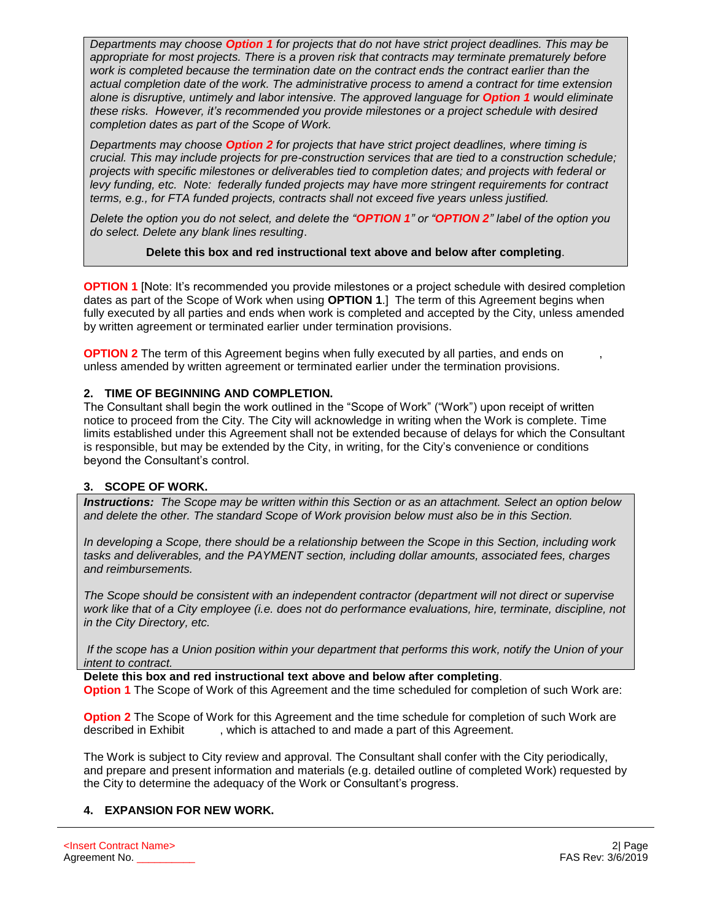*Departments may choose Option 1 for projects that do not have strict project deadlines. This may be appropriate for most projects. There is a proven risk that contracts may terminate prematurely before work is completed because the termination date on the contract ends the contract earlier than the actual completion date of the work. The administrative process to amend a contract for time extension alone is disruptive, untimely and labor intensive. The approved language for Option 1 would eliminate these risks. However, it's recommended you provide milestones or a project schedule with desired completion dates as part of the Scope of Work.*

*Departments may choose Option 2 for projects that have strict project deadlines, where timing is crucial. This may include projects for pre-construction services that are tied to a construction schedule; projects with specific milestones or deliverables tied to completion dates; and projects with federal or levy funding, etc. Note: federally funded projects may have more stringent requirements for contract terms, e.g., for FTA funded projects, contracts shall not exceed five years unless justified.* 

*Delete the option you do not select, and delete the "OPTION 1" or "OPTION 2" label of the option you do select. Delete any blank lines resulting*.

#### **Delete this box and red instructional text above and below after completing**.

**OPTION 1** [Note: It's recommended you provide milestones or a project schedule with desired completion dates as part of the Scope of Work when using **OPTION 1**.] The term of this Agreement begins when fully executed by all parties and ends when work is completed and accepted by the City, unless amended by written agreement or terminated earlier under termination provisions.

**OPTION 2** The term of this Agreement begins when fully executed by all parties, and ends on unless amended by written agreement or terminated earlier under the termination provisions.

# **2. TIME OF BEGINNING AND COMPLETION.**

The Consultant shall begin the work outlined in the "Scope of Work" ("Work") upon receipt of written notice to proceed from the City. The City will acknowledge in writing when the Work is complete. Time limits established under this Agreement shall not be extended because of delays for which the Consultant is responsible, but may be extended by the City, in writing, for the City's convenience or conditions beyond the Consultant's control.

#### **3. SCOPE OF WORK.**

*Instructions:**The Scope may be written within this Section or as an attachment. Select an option below and delete the other. The standard Scope of Work provision below must also be in this Section.*

*In developing a Scope, there should be a relationship between the Scope in this Section, including work tasks and deliverables, and the PAYMENT section, including dollar amounts, associated fees, charges and reimbursements.*

*The Scope should be consistent with an independent contractor (department will not direct or supervise work like that of a City employee (i.e. does not do performance evaluations, hire, terminate, discipline, not in the City Directory, etc.*

*If the scope has a Union position within your department that performs this work, notify the Union of your intent to contract.*

**Delete this box and red instructional text above and below after completing**.

**Option 1** The Scope of Work of this Agreement and the time scheduled for completion of such Work are:

**Option 2** The Scope of Work for this Agreement and the time schedule for completion of such Work are described in Exhibit , which is attached to and made a part of this Agreement.

The Work is subject to City review and approval. The Consultant shall confer with the City periodically, and prepare and present information and materials (e.g. detailed outline of completed Work) requested by the City to determine the adequacy of the Work or Consultant's progress.

# **4. EXPANSION FOR NEW WORK.**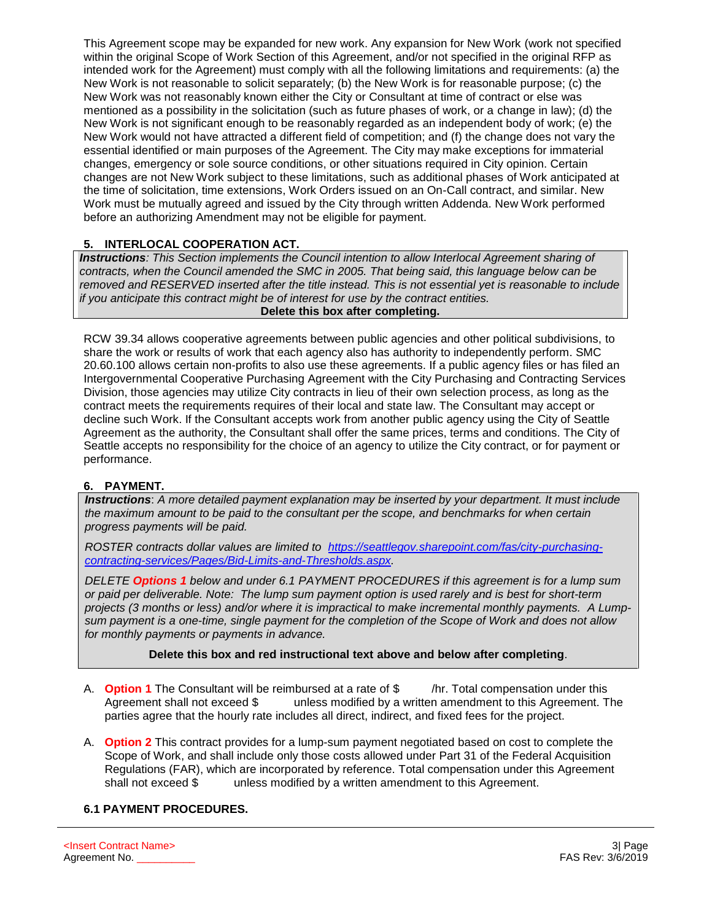This Agreement scope may be expanded for new work. Any expansion for New Work (work not specified within the original Scope of Work Section of this Agreement, and/or not specified in the original RFP as intended work for the Agreement) must comply with all the following limitations and requirements: (a) the New Work is not reasonable to solicit separately; (b) the New Work is for reasonable purpose; (c) the New Work was not reasonably known either the City or Consultant at time of contract or else was mentioned as a possibility in the solicitation (such as future phases of work, or a change in law); (d) the New Work is not significant enough to be reasonably regarded as an independent body of work; (e) the New Work would not have attracted a different field of competition; and (f) the change does not vary the essential identified or main purposes of the Agreement. The City may make exceptions for immaterial changes, emergency or sole source conditions, or other situations required in City opinion. Certain changes are not New Work subject to these limitations, such as additional phases of Work anticipated at the time of solicitation, time extensions, Work Orders issued on an On-Call contract, and similar. New Work must be mutually agreed and issued by the City through written Addenda. New Work performed before an authorizing Amendment may not be eligible for payment.

# **5. INTERLOCAL COOPERATION ACT.**

*Instructions: This Section implements the Council intention to allow Interlocal Agreement sharing of contracts, when the Council amended the SMC in 2005. That being said, this language below can be removed and RESERVED inserted after the title instead. This is not essential yet is reasonable to include if you anticipate this contract might be of interest for use by the contract entities.*  **Delete this box after completing.**

RCW 39.34 allows cooperative agreements between public agencies and other political subdivisions, to share the work or results of work that each agency also has authority to independently perform. SMC 20.60.100 allows certain non-profits to also use these agreements. If a public agency files or has filed an Intergovernmental Cooperative Purchasing Agreement with the City Purchasing and Contracting Services Division, those agencies may utilize City contracts in lieu of their own selection process, as long as the contract meets the requirements requires of their local and state law. The Consultant may accept or decline such Work. If the Consultant accepts work from another public agency using the City of Seattle Agreement as the authority, the Consultant shall offer the same prices, terms and conditions. The City of Seattle accepts no responsibility for the choice of an agency to utilize the City contract, or for payment or performance.

# **6. PAYMENT.**

*Instructions*: *A more detailed payment explanation may be inserted by your department. It must include the maximum amount to be paid to the consultant per the scope, and benchmarks for when certain progress payments will be paid.* 

*ROSTER contracts dollar values are limited to [https://seattlegov.sharepoint.com/fas/city-purchasing](https://seattlegov.sharepoint.com/fas/city-purchasing-contracting-services/Pages/Bid-Limits-and-Thresholds.aspx)[contracting-services/Pages/Bid-Limits-and-Thresholds.aspx.](https://seattlegov.sharepoint.com/fas/city-purchasing-contracting-services/Pages/Bid-Limits-and-Thresholds.aspx)*

*DELETE Options 1 below and under 6.1 PAYMENT PROCEDURES if this agreement is for a lump sum or paid per deliverable. Note: The lump sum payment option is used rarely and is best for short-term projects (3 months or less) and/or where it is impractical to make incremental monthly payments. A Lumpsum payment is a one-time, single payment for the completion of the Scope of Work and does not allow for monthly payments or payments in advance.* 

#### **Delete this box and red instructional text above and below after completing**.

- A. **Option 1** The Consultant will be reimbursed at a rate of \$ /hr. Total compensation under this Agreement shall not exceed \$ unless modified by a written amendment to this Agreement. The parties agree that the hourly rate includes all direct, indirect, and fixed fees for the project.
- A. **Option 2** This contract provides for a lump-sum payment negotiated based on cost to complete the Scope of Work, and shall include only those costs allowed under Part 31 of the Federal Acquisition Regulations (FAR), which are incorporated by reference. Total compensation under this Agreement shall not exceed \$ unless modified by a written amendment to this Agreement.

#### **6.1 PAYMENT PROCEDURES.**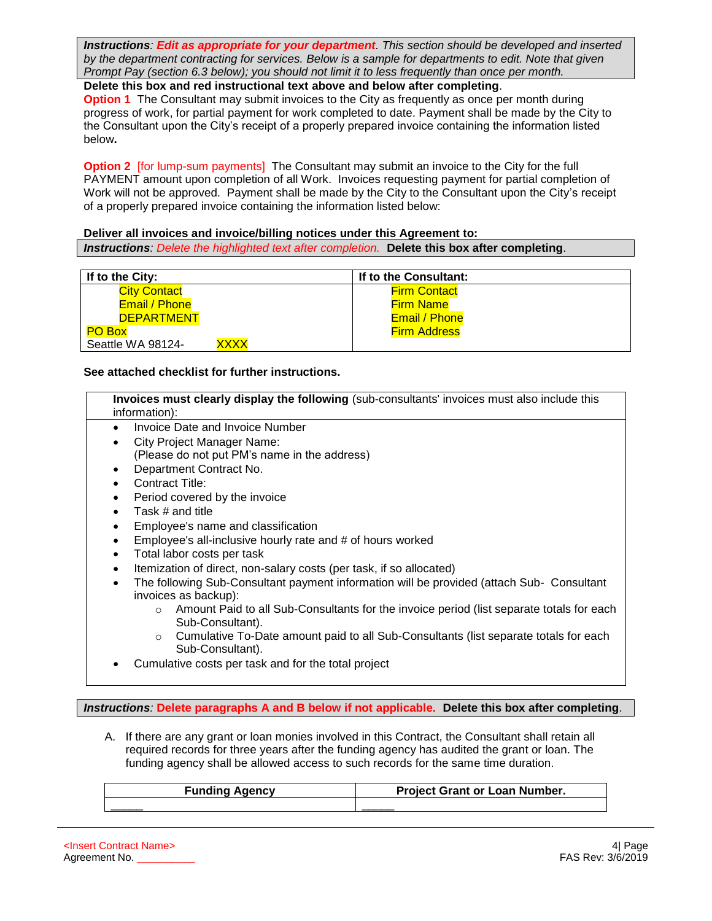*Instructions: Edit as appropriate for your department. This section should be developed and inserted by the department contracting for services. Below is a sample for departments to edit. Note that given Prompt Pay (section 6.3 below); you should not limit it to less frequently than once per month.*

**Delete this box and red instructional text above and below after completing**.

**Option 1** The Consultant may submit invoices to the City as frequently as once per month during progress of work, for partial payment for work completed to date. Payment shall be made by the City to the Consultant upon the City's receipt of a properly prepared invoice containing the information listed below**.** 

**Option 2** [for lump-sum payments] The Consultant may submit an invoice to the City for the full PAYMENT amount upon completion of all Work. Invoices requesting payment for partial completion of Work will not be approved. Payment shall be made by the City to the Consultant upon the City's receipt of a properly prepared invoice containing the information listed below:

**Deliver all invoices and invoice/billing notices under this Agreement to:** *Instructions: Delete the highlighted text after completion.* **Delete this box after completing**.

| If to the City:     |             | If to the Consultant: |
|---------------------|-------------|-----------------------|
| <b>City Contact</b> |             | <b>Firm Contact</b>   |
| Email / Phone       |             | <b>Firm Name</b>      |
| <b>DEPARTMENT</b>   |             | Email / Phone         |
| <b>PO Box</b>       |             | <b>Firm Address</b>   |
| Seattle WA 98124-   | <b>XXXX</b> |                       |

#### **See attached checklist for further instructions.**

| Invoices must clearly display the following (sub-consultants' invoices must also include this<br>information):                                                                                                                                                                                                                                                                                                                                                                                                                                                                                                                                                                                                                                                                                                                                                         |  |
|------------------------------------------------------------------------------------------------------------------------------------------------------------------------------------------------------------------------------------------------------------------------------------------------------------------------------------------------------------------------------------------------------------------------------------------------------------------------------------------------------------------------------------------------------------------------------------------------------------------------------------------------------------------------------------------------------------------------------------------------------------------------------------------------------------------------------------------------------------------------|--|
| <b>Invoice Date and Invoice Number</b><br><b>City Project Manager Name:</b><br>(Please do not put PM's name in the address)<br>Department Contract No.<br>Contract Title:<br>Period covered by the invoice<br>Task # and title<br>Employee's name and classification<br>Employee's all-inclusive hourly rate and # of hours worked<br>Total labor costs per task<br>Itemization of direct, non-salary costs (per task, if so allocated)<br>The following Sub-Consultant payment information will be provided (attach Sub- Consultant<br>invoices as backup):<br>Amount Paid to all Sub-Consultants for the invoice period (list separate totals for each<br>$\Omega$<br>Sub-Consultant).<br>Cumulative To-Date amount paid to all Sub-Consultants (list separate totals for each<br>$\circ$<br>Sub-Consultant).<br>Cumulative costs per task and for the total project |  |
|                                                                                                                                                                                                                                                                                                                                                                                                                                                                                                                                                                                                                                                                                                                                                                                                                                                                        |  |

*Instructions:* **Delete paragraphs A and B below if not applicable. Delete this box after completing**.

A. If there are any grant or loan monies involved in this Contract, the Consultant shall retain all required records for three years after the funding agency has audited the grant or loan. The funding agency shall be allowed access to such records for the same time duration.

| <b>Funding Agency</b> | <b>Project Grant or Loan Number.</b> |  |  |
|-----------------------|--------------------------------------|--|--|
|                       |                                      |  |  |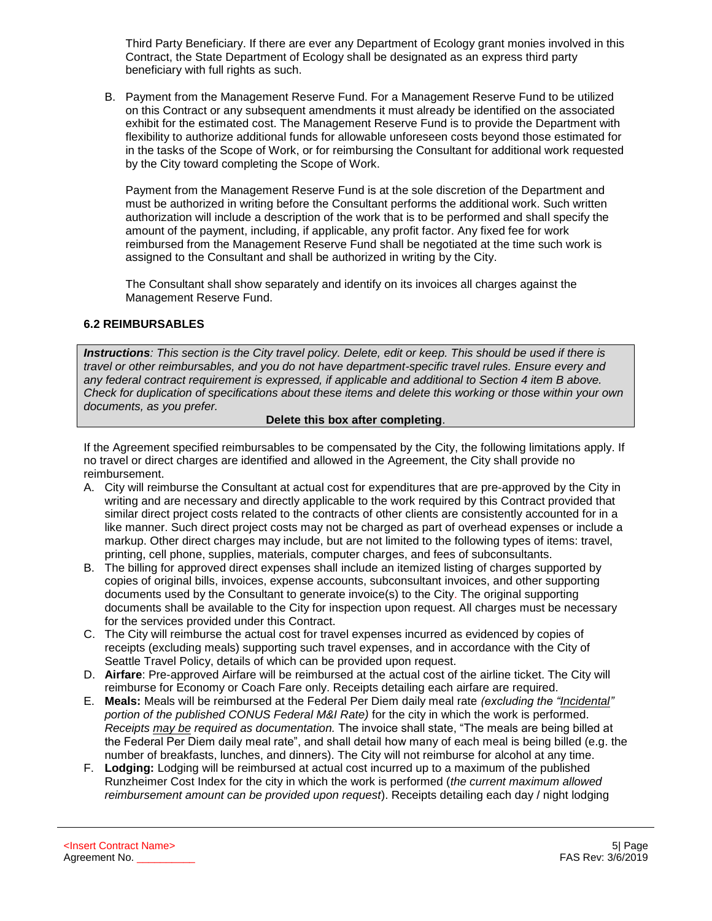Third Party Beneficiary. If there are ever any Department of Ecology grant monies involved in this Contract, the State Department of Ecology shall be designated as an express third party beneficiary with full rights as such.

B. Payment from the Management Reserve Fund. For a Management Reserve Fund to be utilized on this Contract or any subsequent amendments it must already be identified on the associated exhibit for the estimated cost. The Management Reserve Fund is to provide the Department with flexibility to authorize additional funds for allowable unforeseen costs beyond those estimated for in the tasks of the Scope of Work, or for reimbursing the Consultant for additional work requested by the City toward completing the Scope of Work.

Payment from the Management Reserve Fund is at the sole discretion of the Department and must be authorized in writing before the Consultant performs the additional work. Such written authorization will include a description of the work that is to be performed and shall specify the amount of the payment, including, if applicable, any profit factor. Any fixed fee for work reimbursed from the Management Reserve Fund shall be negotiated at the time such work is assigned to the Consultant and shall be authorized in writing by the City.

The Consultant shall show separately and identify on its invoices all charges against the Management Reserve Fund.

# **6.2 REIMBURSABLES**

*Instructions: This section is the City travel policy. Delete, edit or keep. This should be used if there is travel or other reimbursables, and you do not have department-specific travel rules. Ensure every and any federal contract requirement is expressed, if applicable and additional to Section 4 item B above. Check for duplication of specifications about these items and delete this working or those within your own documents, as you prefer.* 

#### **Delete this box after completing**.

If the Agreement specified reimbursables to be compensated by the City, the following limitations apply. If no travel or direct charges are identified and allowed in the Agreement, the City shall provide no reimbursement.

- A. City will reimburse the Consultant at actual cost for expenditures that are pre-approved by the City in writing and are necessary and directly applicable to the work required by this Contract provided that similar direct project costs related to the contracts of other clients are consistently accounted for in a like manner. Such direct project costs may not be charged as part of overhead expenses or include a markup. Other direct charges may include, but are not limited to the following types of items: travel, printing, cell phone, supplies, materials, computer charges, and fees of subconsultants.
- B. The billing for approved direct expenses shall include an itemized listing of charges supported by copies of original bills, invoices, expense accounts, subconsultant invoices, and other supporting documents used by the Consultant to generate invoice(s) to the City. The original supporting documents shall be available to the City for inspection upon request. All charges must be necessary for the services provided under this Contract.
- C. The City will reimburse the actual cost for travel expenses incurred as evidenced by copies of receipts (excluding meals) supporting such travel expenses, and in accordance with the City of Seattle Travel Policy, details of which can be provided upon request.
- D. **Airfare**: Pre-approved Airfare will be reimbursed at the actual cost of the airline ticket. The City will reimburse for Economy or Coach Fare only. Receipts detailing each airfare are required.
- E. **Meals:** Meals will be reimbursed at the Federal Per Diem daily meal rate *(excluding the "Incidental" portion of the published CONUS Federal M&I Rate)* for the city in which the work is performed. *Receipts may be required as documentation.* The invoice shall state, "The meals are being billed at the Federal Per Diem daily meal rate", and shall detail how many of each meal is being billed (e.g. the number of breakfasts, lunches, and dinners). The City will not reimburse for alcohol at any time.
- F. **Lodging:** Lodging will be reimbursed at actual cost incurred up to a maximum of the published Runzheimer Cost Index for the city in which the work is performed (*the current maximum allowed reimbursement amount can be provided upon request*). Receipts detailing each day / night lodging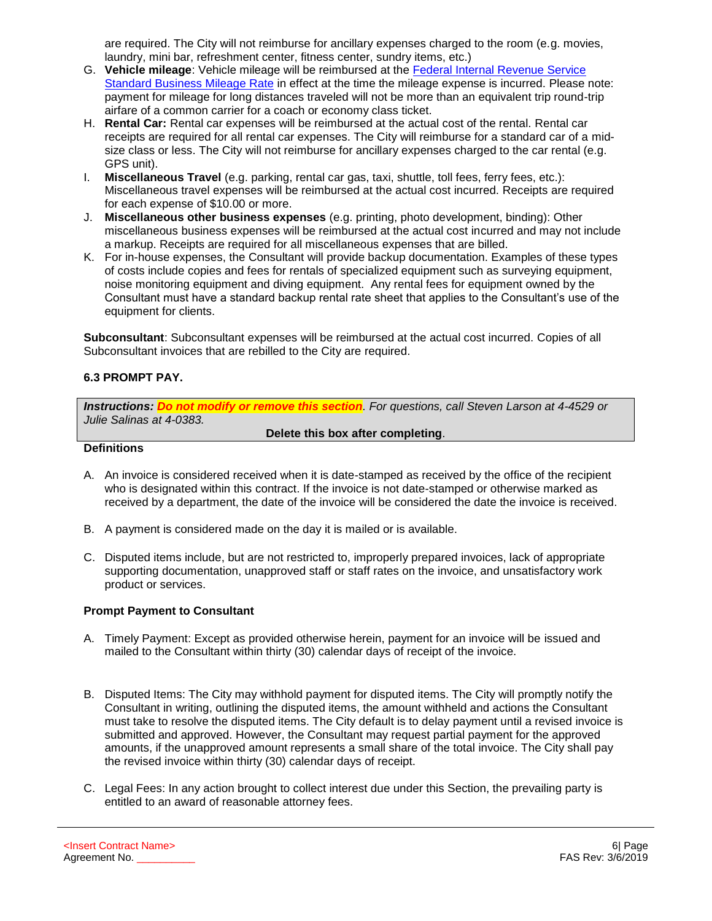are required. The City will not reimburse for ancillary expenses charged to the room (e.g. movies, laundry, mini bar, refreshment center, fitness center, sundry items, etc.)

- G. **Vehicle mileage**: Vehicle mileage will be reimbursed at the [Federal Internal Revenue Service](https://www.irs.gov/uac/Newsroom/2016-Standard-Mileage-Rates-for-Business-Medical-and-Moving-Announced)  [Standard Business Mileage Rate](https://www.irs.gov/uac/Newsroom/2016-Standard-Mileage-Rates-for-Business-Medical-and-Moving-Announced) in effect at the time the mileage expense is incurred. Please note: payment for mileage for long distances traveled will not be more than an equivalent trip round-trip airfare of a common carrier for a coach or economy class ticket.
- H. **Rental Car:** Rental car expenses will be reimbursed at the actual cost of the rental. Rental car receipts are required for all rental car expenses. The City will reimburse for a standard car of a midsize class or less. The City will not reimburse for ancillary expenses charged to the car rental (e.g. GPS unit).
- I. **Miscellaneous Travel** (e.g. parking, rental car gas, taxi, shuttle, toll fees, ferry fees, etc.): Miscellaneous travel expenses will be reimbursed at the actual cost incurred. Receipts are required for each expense of \$10.00 or more.
- J. **Miscellaneous other business expenses** (e.g. printing, photo development, binding): Other miscellaneous business expenses will be reimbursed at the actual cost incurred and may not include a markup. Receipts are required for all miscellaneous expenses that are billed.
- K. For in-house expenses, the Consultant will provide backup documentation. Examples of these types of costs include copies and fees for rentals of specialized equipment such as surveying equipment, noise monitoring equipment and diving equipment. Any rental fees for equipment owned by the Consultant must have a standard backup rental rate sheet that applies to the Consultant's use of the equipment for clients.

**Subconsultant**: Subconsultant expenses will be reimbursed at the actual cost incurred. Copies of all Subconsultant invoices that are rebilled to the City are required.

# **6.3 PROMPT PAY.**

*Instructions: Do not modify or remove this section. For questions, call Steven Larson at 4-4529 or Julie Salinas at 4-0383.* 

**Delete this box after completing**.

#### **Definitions**

- A. An invoice is considered received when it is date-stamped as received by the office of the recipient who is designated within this contract. If the invoice is not date-stamped or otherwise marked as received by a department, the date of the invoice will be considered the date the invoice is received.
- B. A payment is considered made on the day it is mailed or is available.
- C. Disputed items include, but are not restricted to, improperly prepared invoices, lack of appropriate supporting documentation, unapproved staff or staff rates on the invoice, and unsatisfactory work product or services.

#### **Prompt Payment to Consultant**

- A. Timely Payment: Except as provided otherwise herein, payment for an invoice will be issued and mailed to the Consultant within thirty (30) calendar days of receipt of the invoice.
- B. Disputed Items: The City may withhold payment for disputed items. The City will promptly notify the Consultant in writing, outlining the disputed items, the amount withheld and actions the Consultant must take to resolve the disputed items. The City default is to delay payment until a revised invoice is submitted and approved. However, the Consultant may request partial payment for the approved amounts, if the unapproved amount represents a small share of the total invoice. The City shall pay the revised invoice within thirty (30) calendar days of receipt.
- C. Legal Fees: In any action brought to collect interest due under this Section, the prevailing party is entitled to an award of reasonable attorney fees.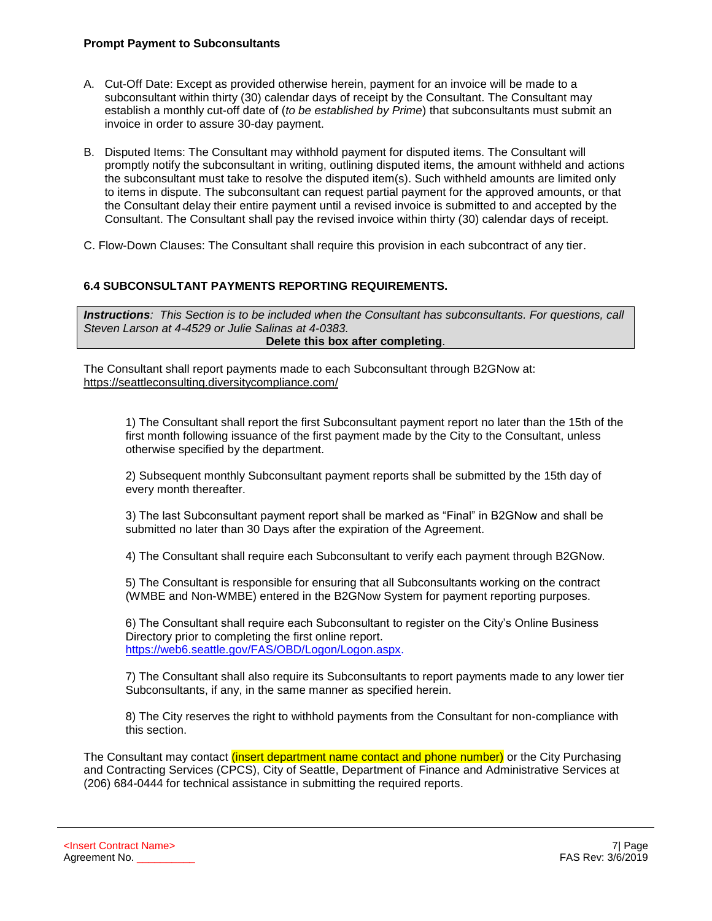#### **Prompt Payment to Subconsultants**

- A. Cut-Off Date: Except as provided otherwise herein, payment for an invoice will be made to a subconsultant within thirty (30) calendar days of receipt by the Consultant. The Consultant may establish a monthly cut-off date of (*to be established by Prime*) that subconsultants must submit an invoice in order to assure 30-day payment.
- B. Disputed Items: The Consultant may withhold payment for disputed items. The Consultant will promptly notify the subconsultant in writing, outlining disputed items, the amount withheld and actions the subconsultant must take to resolve the disputed item(s). Such withheld amounts are limited only to items in dispute. The subconsultant can request partial payment for the approved amounts, or that the Consultant delay their entire payment until a revised invoice is submitted to and accepted by the Consultant. The Consultant shall pay the revised invoice within thirty (30) calendar days of receipt.
- C. Flow-Down Clauses: The Consultant shall require this provision in each subcontract of any tier.

# **6.4 SUBCONSULTANT PAYMENTS REPORTING REQUIREMENTS.**

*Instructions: This Section is to be included when the Consultant has subconsultants. For questions, call Steven Larson at 4-4529 or Julie Salinas at 4-0383.*  **Delete this box after completing**.

The Consultant shall report payments made to each Subconsultant through B2GNow at: <https://seattleconsulting.diversitycompliance.com/>

1) The Consultant shall report the first Subconsultant payment report no later than the 15th of the first month following issuance of the first payment made by the City to the Consultant, unless otherwise specified by the department.

2) Subsequent monthly Subconsultant payment reports shall be submitted by the 15th day of every month thereafter.

3) The last Subconsultant payment report shall be marked as "Final" in B2GNow and shall be submitted no later than 30 Days after the expiration of the Agreement.

4) The Consultant shall require each Subconsultant to verify each payment through B2GNow.

5) The Consultant is responsible for ensuring that all Subconsultants working on the contract (WMBE and Non-WMBE) entered in the B2GNow System for payment reporting purposes.

6) The Consultant shall require each Subconsultant to register on the City's Online Business Directory prior to completing the first online report. [https://web6.seattle.gov/FAS/OBD/Logon/Logon.aspx.](https://web6.seattle.gov/FAS/OBD/Logon/Logon.aspx)

7) The Consultant shall also require its Subconsultants to report payments made to any lower tier Subconsultants, if any, in the same manner as specified herein.

8) The City reserves the right to withhold payments from the Consultant for non-compliance with this section.

The Consultant may contact *(insert department name contact and phone number)* or the City Purchasing and Contracting Services (CPCS), City of Seattle, Department of Finance and Administrative Services at (206) 684-0444 for technical assistance in submitting the required reports.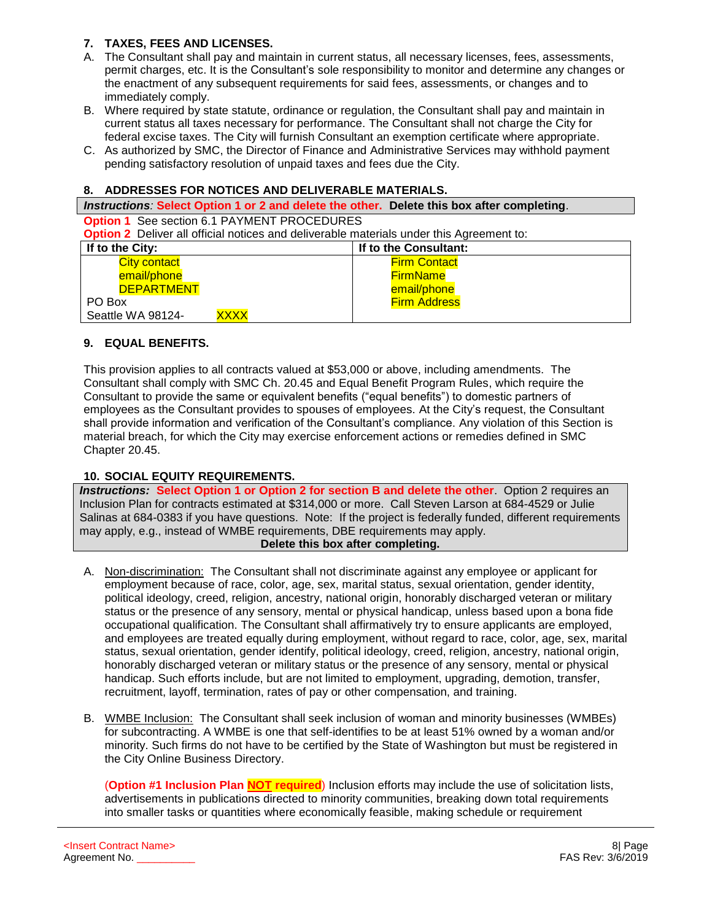# **7. TAXES, FEES AND LICENSES.**

- A. The Consultant shall pay and maintain in current status, all necessary licenses, fees, assessments, permit charges, etc. It is the Consultant's sole responsibility to monitor and determine any changes or the enactment of any subsequent requirements for said fees, assessments, or changes and to immediately comply.
- B. Where required by state statute, ordinance or regulation, the Consultant shall pay and maintain in current status all taxes necessary for performance. The Consultant shall not charge the City for federal excise taxes. The City will furnish Consultant an exemption certificate where appropriate.
- C. As authorized by SMC, the Director of Finance and Administrative Services may withhold payment pending satisfactory resolution of unpaid taxes and fees due the City.

#### **8. ADDRESSES FOR NOTICES AND DELIVERABLE MATERIALS.**

#### *Instructions:* **Select Option 1 or 2 and delete the other. Delete this box after completing**.

**Option 1** See section 6.1 PAYMENT PROCEDURES **Option 2** Deliver all official notices and deliverable materials under this Agreement to:

| If to the City:           | If to the Consultant: |  |
|---------------------------|-----------------------|--|
| <b>City contact</b>       | <b>Firm Contact</b>   |  |
| email/phone               | <b>FirmName</b>       |  |
| <b>DEPARTMENT</b>         | email/phone           |  |
| PO Box                    | <b>Firm Address</b>   |  |
| XXXX<br>Seattle WA 98124- |                       |  |

# **9. EQUAL BENEFITS.**

This provision applies to all contracts valued at \$53,000 or above, including amendments. The Consultant shall comply with SMC Ch. 20.45 and Equal Benefit Program Rules, which require the Consultant to provide the same or equivalent benefits ("equal benefits") to domestic partners of employees as the Consultant provides to spouses of employees. At the City's request, the Consultant shall provide information and verification of the Consultant's compliance. Any violation of this Section is material breach, for which the City may exercise enforcement actions or remedies defined in SMC Chapter 20.45.

# **10. SOCIAL EQUITY REQUIREMENTS.**

*Instructions:* **Select Option 1 or Option 2 for section B and delete the other**. Option 2 requires an Inclusion Plan for contracts estimated at \$314,000 or more. Call Steven Larson at 684-4529 or Julie Salinas at 684-0383 if you have questions. Note: If the project is federally funded, different requirements may apply, e.g., instead of WMBE requirements, DBE requirements may apply.

#### **Delete this box after completing.**

- A. Non-discrimination: The Consultant shall not discriminate against any employee or applicant for employment because of race, color, age, sex, marital status, sexual orientation, gender identity, political ideology, creed, religion, ancestry, national origin, honorably discharged veteran or military status or the presence of any sensory, mental or physical handicap, unless based upon a bona fide occupational qualification. The Consultant shall affirmatively try to ensure applicants are employed, and employees are treated equally during employment, without regard to race, color, age, sex, marital status, sexual orientation, gender identify, political ideology, creed, religion, ancestry, national origin, honorably discharged veteran or military status or the presence of any sensory, mental or physical handicap. Such efforts include, but are not limited to employment, upgrading, demotion, transfer, recruitment, layoff, termination, rates of pay or other compensation, and training.
- B. WMBE Inclusion: The Consultant shall seek inclusion of woman and minority businesses (WMBEs) for subcontracting. A WMBE is one that self-identifies to be at least 51% owned by a woman and/or minority. Such firms do not have to be certified by the State of Washington but must be registered in the City Online Business Directory.

(**Option #1 Inclusion Plan NOT required**) Inclusion efforts may include the use of solicitation lists, advertisements in publications directed to minority communities, breaking down total requirements into smaller tasks or quantities where economically feasible, making schedule or requirement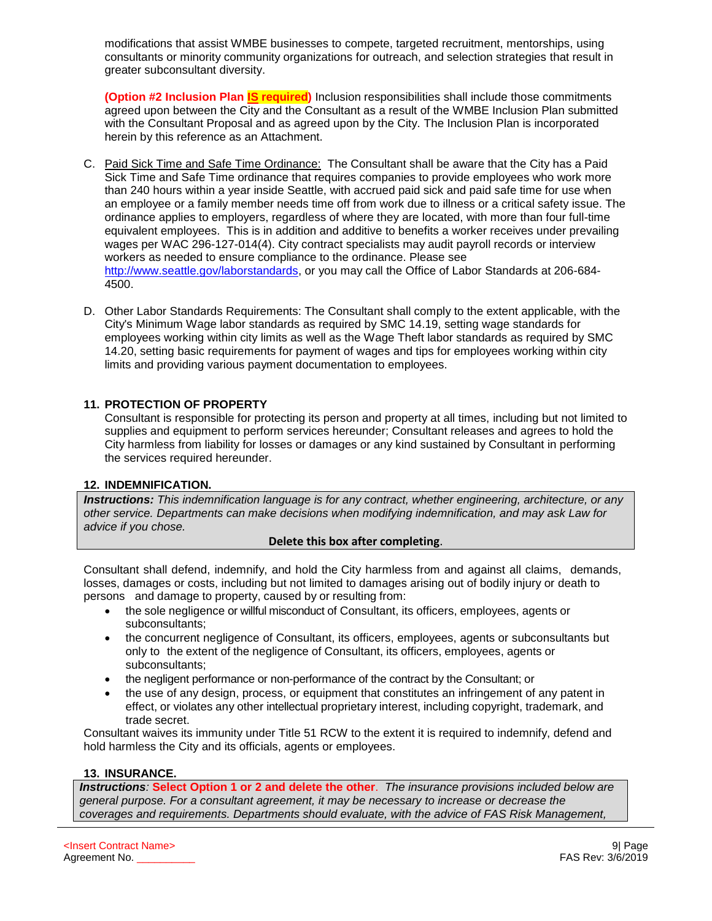modifications that assist WMBE businesses to compete, targeted recruitment, mentorships, using consultants or minority community organizations for outreach, and selection strategies that result in greater subconsultant diversity.

**(Option #2 Inclusion Plan IS required)** Inclusion responsibilities shall include those commitments agreed upon between the City and the Consultant as a result of the WMBE Inclusion Plan submitted with the Consultant Proposal and as agreed upon by the City. The Inclusion Plan is incorporated herein by this reference as an Attachment.

- C. Paid Sick Time and Safe Time Ordinance: The Consultant shall be aware that the City has a Paid Sick Time and Safe Time ordinance that requires companies to provide employees who work more than 240 hours within a year inside Seattle, with accrued paid sick and paid safe time for use when an employee or a family member needs time off from work due to illness or a critical safety issue. The ordinance applies to employers, regardless of where they are located, with more than four full-time equivalent employees. This is in addition and additive to benefits a worker receives under prevailing wages per WAC 296-127-014(4). City contract specialists may audit payroll records or interview workers as needed to ensure compliance to the ordinance. Please see [http://www.seattle.gov/laborstandards,](http://www.seattle.gov/laborstandards) or you may call the Office of Labor Standards at 206-684- 4500.
- D. Other Labor Standards Requirements: The Consultant shall comply to the extent applicable, with the City's Minimum Wage labor standards as required by SMC 14.19, setting wage standards for employees working within city limits as well as the Wage Theft labor standards as required by SMC 14.20, setting basic requirements for payment of wages and tips for employees working within city limits and providing various payment documentation to employees.

#### **11. PROTECTION OF PROPERTY**

Consultant is responsible for protecting its person and property at all times, including but not limited to supplies and equipment to perform services hereunder; Consultant releases and agrees to hold the City harmless from liability for losses or damages or any kind sustained by Consultant in performing the services required hereunder.

#### **12. INDEMNIFICATION.**

*Instructions: This indemnification language is for any contract, whether engineering, architecture, or any other service. Departments can make decisions when modifying indemnification, and may ask Law for advice if you chose.*

#### **Delete this box after completing**.

Consultant shall defend, indemnify, and hold the City harmless from and against all claims, demands, losses, damages or costs, including but not limited to damages arising out of bodily injury or death to persons and damage to property, caused by or resulting from:

- the sole negligence or willful misconduct of Consultant, its officers, employees, agents or subconsultants;
- the concurrent negligence of Consultant, its officers, employees, agents or subconsultants but only to the extent of the negligence of Consultant, its officers, employees, agents or subconsultants;
- the negligent performance or non-performance of the contract by the Consultant; or
- the use of any design, process, or equipment that constitutes an infringement of any patent in effect, or violates any other intellectual proprietary interest, including copyright, trademark, and trade secret.

Consultant waives its immunity under Title 51 RCW to the extent it is required to indemnify, defend and hold harmless the City and its officials, agents or employees.

#### **13. INSURANCE.**

*Instructions:* **Select Option 1 or 2 and delete the other**. *The insurance provisions included below are general purpose. For a consultant agreement, it may be necessary to increase or decrease the coverages and requirements. Departments should evaluate, with the advice of FAS Risk Management,*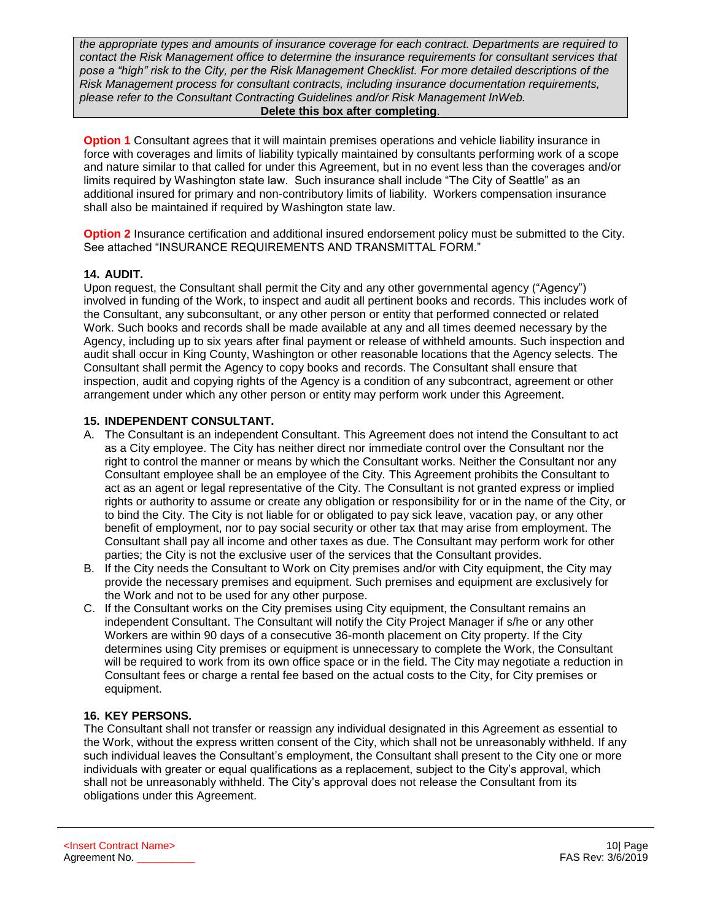*the appropriate types and amounts of insurance coverage for each contract. Departments are required to contact the Risk Management office to determine the insurance requirements for consultant services that pose a "high" risk to the City, per the Risk Management Checklist. For more detailed descriptions of the Risk Management process for consultant contracts, including insurance documentation requirements, please refer to the Consultant Contracting Guidelines and/or Risk Management InWeb.*  **Delete this box after completing**.

**Option 1** Consultant agrees that it will maintain premises operations and vehicle liability insurance in force with coverages and limits of liability typically maintained by consultants performing work of a scope and nature similar to that called for under this Agreement, but in no event less than the coverages and/or limits required by Washington state law. Such insurance shall include "The City of Seattle" as an additional insured for primary and non-contributory limits of liability. Workers compensation insurance shall also be maintained if required by Washington state law.

**Option 2** Insurance certification and additional insured endorsement policy must be submitted to the City. See attached "INSURANCE REQUIREMENTS AND TRANSMITTAL FORM."

#### **14. AUDIT.**

Upon request, the Consultant shall permit the City and any other governmental agency ("Agency") involved in funding of the Work, to inspect and audit all pertinent books and records. This includes work of the Consultant, any subconsultant, or any other person or entity that performed connected or related Work. Such books and records shall be made available at any and all times deemed necessary by the Agency, including up to six years after final payment or release of withheld amounts. Such inspection and audit shall occur in King County, Washington or other reasonable locations that the Agency selects. The Consultant shall permit the Agency to copy books and records. The Consultant shall ensure that inspection, audit and copying rights of the Agency is a condition of any subcontract, agreement or other arrangement under which any other person or entity may perform work under this Agreement.

# **15. INDEPENDENT CONSULTANT.**

- A. The Consultant is an independent Consultant. This Agreement does not intend the Consultant to act as a City employee. The City has neither direct nor immediate control over the Consultant nor the right to control the manner or means by which the Consultant works. Neither the Consultant nor any Consultant employee shall be an employee of the City. This Agreement prohibits the Consultant to act as an agent or legal representative of the City. The Consultant is not granted express or implied rights or authority to assume or create any obligation or responsibility for or in the name of the City, or to bind the City. The City is not liable for or obligated to pay sick leave, vacation pay, or any other benefit of employment, nor to pay social security or other tax that may arise from employment. The Consultant shall pay all income and other taxes as due. The Consultant may perform work for other parties; the City is not the exclusive user of the services that the Consultant provides.
- B. If the City needs the Consultant to Work on City premises and/or with City equipment, the City may provide the necessary premises and equipment. Such premises and equipment are exclusively for the Work and not to be used for any other purpose.
- C. If the Consultant works on the City premises using City equipment, the Consultant remains an independent Consultant. The Consultant will notify the City Project Manager if s/he or any other Workers are within 90 days of a consecutive 36-month placement on City property. If the City determines using City premises or equipment is unnecessary to complete the Work, the Consultant will be required to work from its own office space or in the field. The City may negotiate a reduction in Consultant fees or charge a rental fee based on the actual costs to the City, for City premises or equipment.

# **16. KEY PERSONS.**

The Consultant shall not transfer or reassign any individual designated in this Agreement as essential to the Work, without the express written consent of the City, which shall not be unreasonably withheld. If any such individual leaves the Consultant's employment, the Consultant shall present to the City one or more individuals with greater or equal qualifications as a replacement, subject to the City's approval, which shall not be unreasonably withheld. The City's approval does not release the Consultant from its obligations under this Agreement.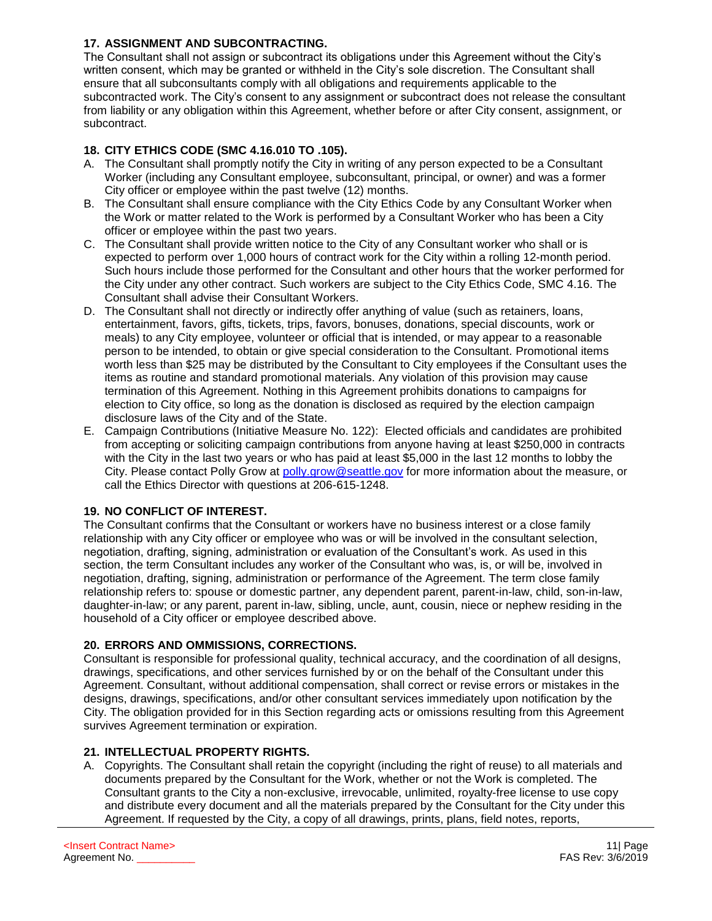# **17. ASSIGNMENT AND SUBCONTRACTING.**

The Consultant shall not assign or subcontract its obligations under this Agreement without the City's written consent, which may be granted or withheld in the City's sole discretion. The Consultant shall ensure that all subconsultants comply with all obligations and requirements applicable to the subcontracted work. The City's consent to any assignment or subcontract does not release the consultant from liability or any obligation within this Agreement, whether before or after City consent, assignment, or subcontract.

# **18. CITY ETHICS CODE (SMC 4.16.010 TO .105).**

- A. The Consultant shall promptly notify the City in writing of any person expected to be a Consultant Worker (including any Consultant employee, subconsultant, principal, or owner) and was a former City officer or employee within the past twelve (12) months.
- B. The Consultant shall ensure compliance with the City Ethics Code by any Consultant Worker when the Work or matter related to the Work is performed by a Consultant Worker who has been a City officer or employee within the past two years.
- C. The Consultant shall provide written notice to the City of any Consultant worker who shall or is expected to perform over 1,000 hours of contract work for the City within a rolling 12-month period. Such hours include those performed for the Consultant and other hours that the worker performed for the City under any other contract. Such workers are subject to the City Ethics Code, SMC 4.16. The Consultant shall advise their Consultant Workers.
- D. The Consultant shall not directly or indirectly offer anything of value (such as retainers, loans, entertainment, favors, gifts, tickets, trips, favors, bonuses, donations, special discounts, work or meals) to any City employee, volunteer or official that is intended, or may appear to a reasonable person to be intended, to obtain or give special consideration to the Consultant. Promotional items worth less than \$25 may be distributed by the Consultant to City employees if the Consultant uses the items as routine and standard promotional materials. Any violation of this provision may cause termination of this Agreement. Nothing in this Agreement prohibits donations to campaigns for election to City office, so long as the donation is disclosed as required by the election campaign disclosure laws of the City and of the State.
- E. Campaign Contributions (Initiative Measure No. 122): Elected officials and candidates are prohibited from accepting or soliciting campaign contributions from anyone having at least \$250,000 in contracts with the City in the last two years or who has paid at least \$5,000 in the last 12 months to lobby the City. Please contact Polly Grow at [polly.grow@seattle.gov](mailto:polly.grow@seattle.gov) for more information about the measure, or call the Ethics Director with questions at 206-615-1248.

# **19. NO CONFLICT OF INTEREST.**

The Consultant confirms that the Consultant or workers have no business interest or a close family relationship with any City officer or employee who was or will be involved in the consultant selection, negotiation, drafting, signing, administration or evaluation of the Consultant's work. As used in this section, the term Consultant includes any worker of the Consultant who was, is, or will be, involved in negotiation, drafting, signing, administration or performance of the Agreement. The term close family relationship refers to: spouse or domestic partner, any dependent parent, parent-in-law, child, son-in-law, daughter-in-law; or any parent, parent in-law, sibling, uncle, aunt, cousin, niece or nephew residing in the household of a City officer or employee described above.

# **20. ERRORS AND OMMISSIONS, CORRECTIONS.**

Consultant is responsible for professional quality, technical accuracy, and the coordination of all designs, drawings, specifications, and other services furnished by or on the behalf of the Consultant under this Agreement. Consultant, without additional compensation, shall correct or revise errors or mistakes in the designs, drawings, specifications, and/or other consultant services immediately upon notification by the City. The obligation provided for in this Section regarding acts or omissions resulting from this Agreement survives Agreement termination or expiration.

# **21. INTELLECTUAL PROPERTY RIGHTS.**

A. Copyrights. The Consultant shall retain the copyright (including the right of reuse) to all materials and documents prepared by the Consultant for the Work, whether or not the Work is completed. The Consultant grants to the City a non-exclusive, irrevocable, unlimited, royalty-free license to use copy and distribute every document and all the materials prepared by the Consultant for the City under this Agreement. If requested by the City, a copy of all drawings, prints, plans, field notes, reports,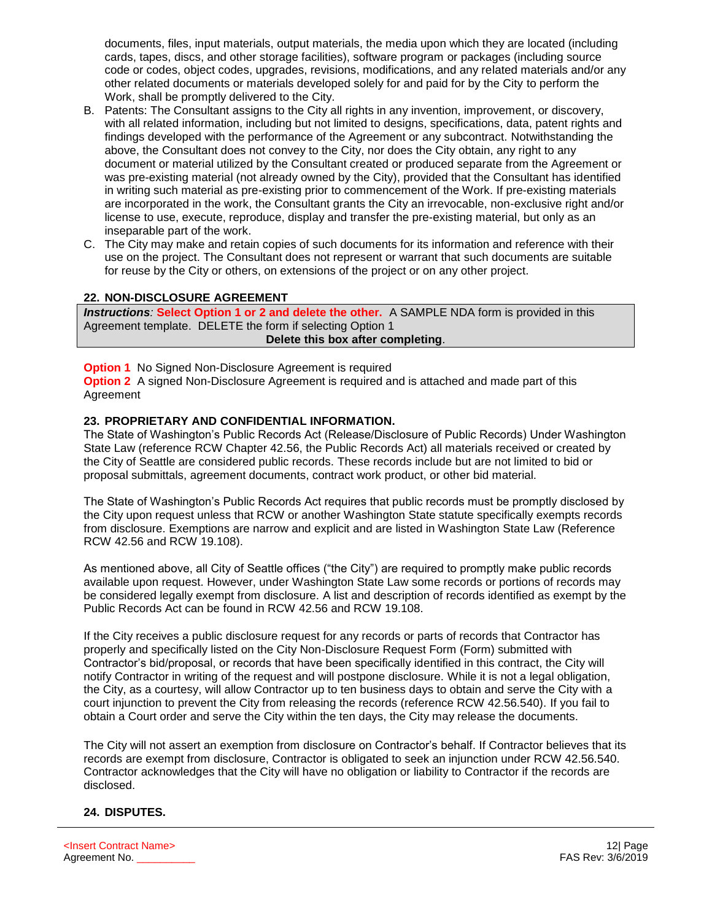documents, files, input materials, output materials, the media upon which they are located (including cards, tapes, discs, and other storage facilities), software program or packages (including source code or codes, object codes, upgrades, revisions, modifications, and any related materials and/or any other related documents or materials developed solely for and paid for by the City to perform the Work, shall be promptly delivered to the City.

- B. Patents: The Consultant assigns to the City all rights in any invention, improvement, or discovery, with all related information, including but not limited to designs, specifications, data, patent rights and findings developed with the performance of the Agreement or any subcontract. Notwithstanding the above, the Consultant does not convey to the City, nor does the City obtain, any right to any document or material utilized by the Consultant created or produced separate from the Agreement or was pre-existing material (not already owned by the City), provided that the Consultant has identified in writing such material as pre-existing prior to commencement of the Work. If pre-existing materials are incorporated in the work, the Consultant grants the City an irrevocable, non-exclusive right and/or license to use, execute, reproduce, display and transfer the pre-existing material, but only as an inseparable part of the work.
- C. The City may make and retain copies of such documents for its information and reference with their use on the project. The Consultant does not represent or warrant that such documents are suitable for reuse by the City or others, on extensions of the project or on any other project.

# **22. NON-DISCLOSURE AGREEMENT**

*Instructions:* **Select Option 1 or 2 and delete the other.** A SAMPLE NDA form is provided in this Agreement template. DELETE the form if selecting Option 1 **Delete this box after completing**.

# **Option 1** No Signed Non-Disclosure Agreement is required

**Option 2** A signed Non-Disclosure Agreement is required and is attached and made part of this Agreement

#### **23. PROPRIETARY AND CONFIDENTIAL INFORMATION.**

The State of Washington's Public Records Act (Release/Disclosure of Public Records) Under Washington State Law (reference RCW Chapter 42.56, the Public Records Act) all materials received or created by the City of Seattle are considered public records. These records include but are not limited to bid or proposal submittals, agreement documents, contract work product, or other bid material.

The State of Washington's Public Records Act requires that public records must be promptly disclosed by the City upon request unless that RCW or another Washington State statute specifically exempts records from disclosure. Exemptions are narrow and explicit and are listed in Washington State Law (Reference RCW 42.56 and RCW 19.108).

As mentioned above, all City of Seattle offices ("the City") are required to promptly make public records available upon request. However, under Washington State Law some records or portions of records may be considered legally exempt from disclosure. A list and description of records identified as exempt by the Public Records Act can be found in RCW 42.56 and RCW 19.108.

If the City receives a public disclosure request for any records or parts of records that Contractor has properly and specifically listed on the City Non-Disclosure Request Form (Form) submitted with Contractor's bid/proposal, or records that have been specifically identified in this contract, the City will notify Contractor in writing of the request and will postpone disclosure. While it is not a legal obligation, the City, as a courtesy, will allow Contractor up to ten business days to obtain and serve the City with a court injunction to prevent the City from releasing the records (reference RCW 42.56.540). If you fail to obtain a Court order and serve the City within the ten days, the City may release the documents.

The City will not assert an exemption from disclosure on Contractor's behalf. If Contractor believes that its records are exempt from disclosure, Contractor is obligated to seek an injunction under RCW 42.56.540. Contractor acknowledges that the City will have no obligation or liability to Contractor if the records are disclosed.

# **24. DISPUTES.**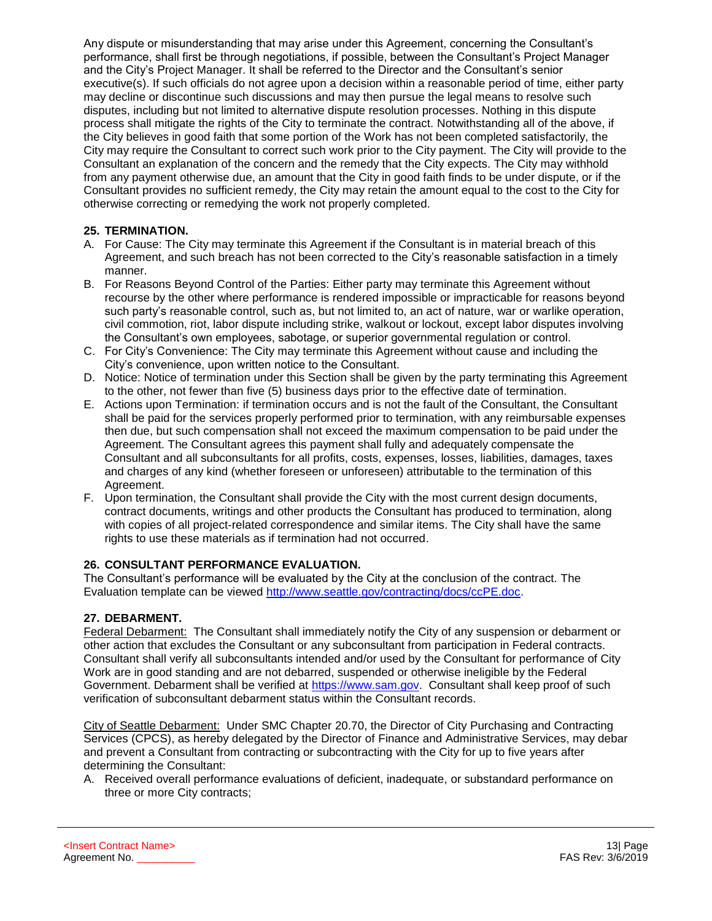Any dispute or misunderstanding that may arise under this Agreement, concerning the Consultant's performance, shall first be through negotiations, if possible, between the Consultant's Project Manager and the City's Project Manager. It shall be referred to the Director and the Consultant's senior executive(s). If such officials do not agree upon a decision within a reasonable period of time, either party may decline or discontinue such discussions and may then pursue the legal means to resolve such disputes, including but not limited to alternative dispute resolution processes. Nothing in this dispute process shall mitigate the rights of the City to terminate the contract. Notwithstanding all of the above, if the City believes in good faith that some portion of the Work has not been completed satisfactorily, the City may require the Consultant to correct such work prior to the City payment. The City will provide to the Consultant an explanation of the concern and the remedy that the City expects. The City may withhold from any payment otherwise due, an amount that the City in good faith finds to be under dispute, or if the Consultant provides no sufficient remedy, the City may retain the amount equal to the cost to the City for otherwise correcting or remedying the work not properly completed.

# **25. TERMINATION.**

- A. For Cause: The City may terminate this Agreement if the Consultant is in material breach of this Agreement, and such breach has not been corrected to the City's reasonable satisfaction in a timely manner.
- B. For Reasons Beyond Control of the Parties: Either party may terminate this Agreement without recourse by the other where performance is rendered impossible or impracticable for reasons beyond such party's reasonable control, such as, but not limited to, an act of nature, war or warlike operation, civil commotion, riot, labor dispute including strike, walkout or lockout, except labor disputes involving the Consultant's own employees, sabotage, or superior governmental regulation or control.
- C. For City's Convenience: The City may terminate this Agreement without cause and including the City's convenience, upon written notice to the Consultant.
- D. Notice: Notice of termination under this Section shall be given by the party terminating this Agreement to the other, not fewer than five (5) business days prior to the effective date of termination.
- E. Actions upon Termination: if termination occurs and is not the fault of the Consultant, the Consultant shall be paid for the services properly performed prior to termination, with any reimbursable expenses then due, but such compensation shall not exceed the maximum compensation to be paid under the Agreement. The Consultant agrees this payment shall fully and adequately compensate the Consultant and all subconsultants for all profits, costs, expenses, losses, liabilities, damages, taxes and charges of any kind (whether foreseen or unforeseen) attributable to the termination of this Agreement.
- F. Upon termination, the Consultant shall provide the City with the most current design documents, contract documents, writings and other products the Consultant has produced to termination, along with copies of all project-related correspondence and similar items. The City shall have the same rights to use these materials as if termination had not occurred.

# **26. CONSULTANT PERFORMANCE EVALUATION.**

The Consultant's performance will be evaluated by the City at the conclusion of the contract. The Evaluation template can be viewed [http://www.seattle.gov/contracting/docs/ccPE.doc.](http://www.seattle.gov/contracting/docs/ccPE.doc)

#### **27. DEBARMENT.**

Federal Debarment: The Consultant shall immediately notify the City of any suspension or debarment or other action that excludes the Consultant or any subconsultant from participation in Federal contracts. Consultant shall verify all subconsultants intended and/or used by the Consultant for performance of City Work are in good standing and are not debarred, suspended or otherwise ineligible by the Federal Government. Debarment shall be verified at [https://www.sam.gov.](https://www.sam.gov/) Consultant shall keep proof of such verification of subconsultant debarment status within the Consultant records.

City of Seattle Debarment: Under SMC Chapter 20.70, the Director of City Purchasing and Contracting Services (CPCS), as hereby delegated by the Director of Finance and Administrative Services, may debar and prevent a Consultant from contracting or subcontracting with the City for up to five years after determining the Consultant:

A. Received overall performance evaluations of deficient, inadequate, or substandard performance on three or more City contracts;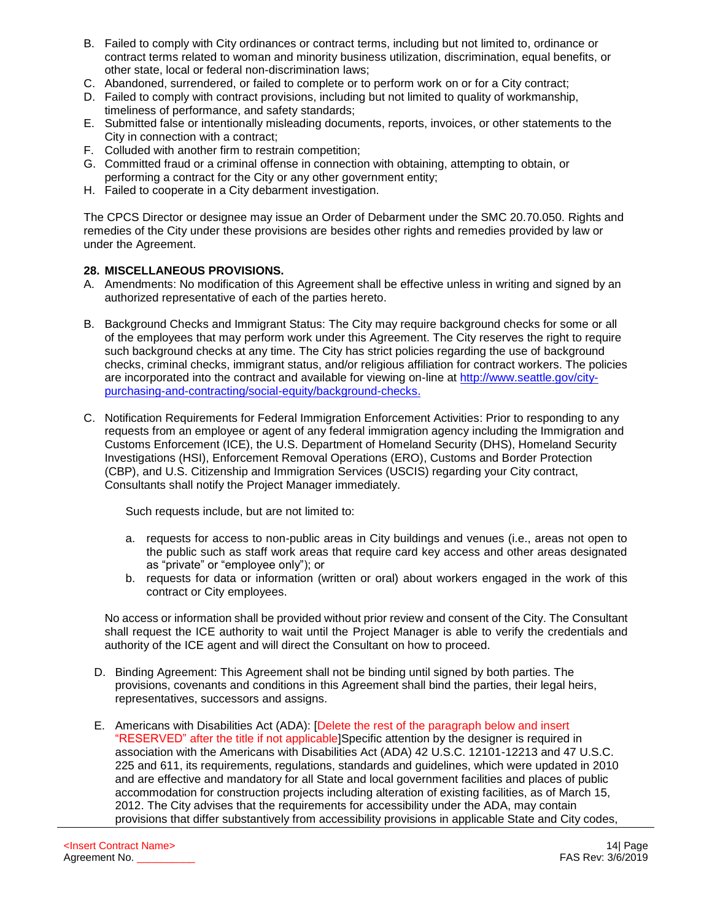- B. Failed to comply with City ordinances or contract terms, including but not limited to, ordinance or contract terms related to woman and minority business utilization, discrimination, equal benefits, or other state, local or federal non-discrimination laws;
- C. Abandoned, surrendered, or failed to complete or to perform work on or for a City contract;
- D. Failed to comply with contract provisions, including but not limited to quality of workmanship, timeliness of performance, and safety standards;
- E. Submitted false or intentionally misleading documents, reports, invoices, or other statements to the City in connection with a contract;
- F. Colluded with another firm to restrain competition;
- G. Committed fraud or a criminal offense in connection with obtaining, attempting to obtain, or performing a contract for the City or any other government entity;
- H. Failed to cooperate in a City debarment investigation.

The CPCS Director or designee may issue an Order of Debarment under the SMC 20.70.050. Rights and remedies of the City under these provisions are besides other rights and remedies provided by law or under the Agreement.

#### **28. MISCELLANEOUS PROVISIONS.**

- A. Amendments: No modification of this Agreement shall be effective unless in writing and signed by an authorized representative of each of the parties hereto.
- B. Background Checks and Immigrant Status: The City may require background checks for some or all of the employees that may perform work under this Agreement. The City reserves the right to require such background checks at any time. The City has strict policies regarding the use of background checks, criminal checks, immigrant status, and/or religious affiliation for contract workers. The policies are incorporated into the contract and available for viewing on-line at [http://www.seattle.gov/city](http://www.seattle.gov/city-purchasing-and-contracting/social-equity/background-checks)[purchasing-and-contracting/social-equity/background-checks.](http://www.seattle.gov/city-purchasing-and-contracting/social-equity/background-checks)
- C. Notification Requirements for Federal Immigration Enforcement Activities: Prior to responding to any requests from an employee or agent of any federal immigration agency including the Immigration and Customs Enforcement (ICE), the U.S. Department of Homeland Security (DHS), Homeland Security Investigations (HSI), Enforcement Removal Operations (ERO), Customs and Border Protection (CBP), and U.S. Citizenship and Immigration Services (USCIS) regarding your City contract, Consultants shall notify the Project Manager immediately.

Such requests include, but are not limited to:

- a. requests for access to non-public areas in City buildings and venues (i.e., areas not open to the public such as staff work areas that require card key access and other areas designated as "private" or "employee only"); or
- b. requests for data or information (written or oral) about workers engaged in the work of this contract or City employees.

No access or information shall be provided without prior review and consent of the City. The Consultant shall request the ICE authority to wait until the Project Manager is able to verify the credentials and authority of the ICE agent and will direct the Consultant on how to proceed.

- D. Binding Agreement: This Agreement shall not be binding until signed by both parties. The provisions, covenants and conditions in this Agreement shall bind the parties, their legal heirs, representatives, successors and assigns.
- E. Americans with Disabilities Act (ADA): [Delete the rest of the paragraph below and insert "RESERVED" after the title if not applicable]Specific attention by the designer is required in association with the Americans with Disabilities Act (ADA) 42 U.S.C. 12101-12213 and 47 U.S.C. 225 and 611, its requirements, regulations, standards and guidelines, which were updated in 2010 and are effective and mandatory for all State and local government facilities and places of public accommodation for construction projects including alteration of existing facilities, as of March 15, 2012. The City advises that the requirements for accessibility under the ADA, may contain provisions that differ substantively from accessibility provisions in applicable State and City codes,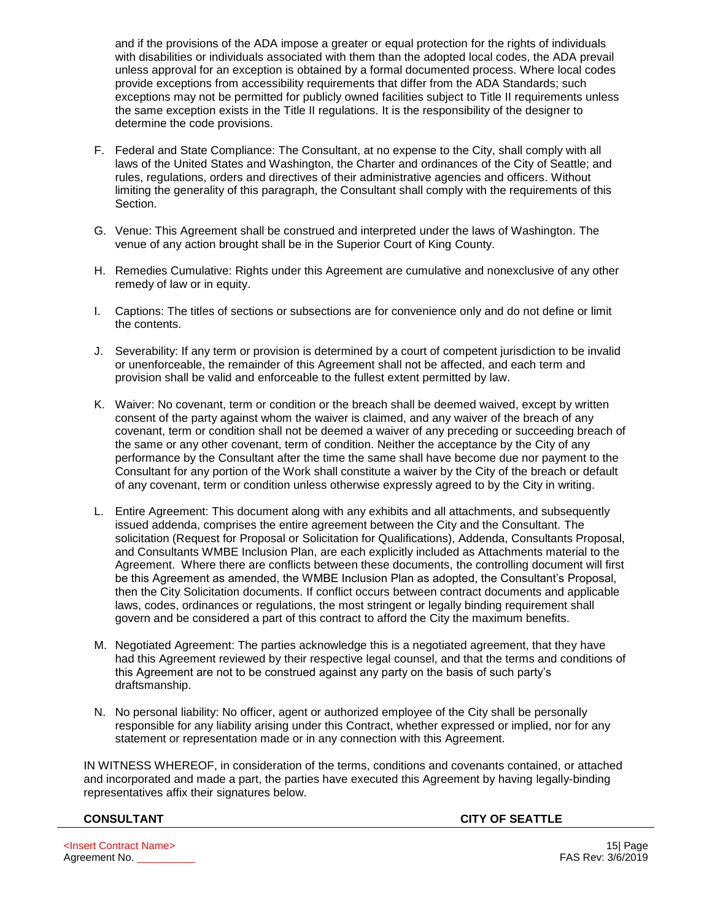and if the provisions of the ADA impose a greater or equal protection for the rights of individuals with disabilities or individuals associated with them than the adopted local codes, the ADA prevail unless approval for an exception is obtained by a formal documented process. Where local codes provide exceptions from accessibility requirements that differ from the ADA Standards; such exceptions may not be permitted for publicly owned facilities subject to Title II requirements unless the same exception exists in the Title II regulations. It is the responsibility of the designer to determine the code provisions.

- F. Federal and State Compliance: The Consultant, at no expense to the City, shall comply with all laws of the United States and Washington, the Charter and ordinances of the City of Seattle; and rules, regulations, orders and directives of their administrative agencies and officers. Without limiting the generality of this paragraph, the Consultant shall comply with the requirements of this Section.
- G. Venue: This Agreement shall be construed and interpreted under the laws of Washington. The venue of any action brought shall be in the Superior Court of King County.
- H. Remedies Cumulative: Rights under this Agreement are cumulative and nonexclusive of any other remedy of law or in equity.
- I. Captions: The titles of sections or subsections are for convenience only and do not define or limit the contents.
- J. Severability: If any term or provision is determined by a court of competent jurisdiction to be invalid or unenforceable, the remainder of this Agreement shall not be affected, and each term and provision shall be valid and enforceable to the fullest extent permitted by law.
- K. Waiver: No covenant, term or condition or the breach shall be deemed waived, except by written consent of the party against whom the waiver is claimed, and any waiver of the breach of any covenant, term or condition shall not be deemed a waiver of any preceding or succeeding breach of the same or any other covenant, term of condition. Neither the acceptance by the City of any performance by the Consultant after the time the same shall have become due nor payment to the Consultant for any portion of the Work shall constitute a waiver by the City of the breach or default of any covenant, term or condition unless otherwise expressly agreed to by the City in writing.
- L. Entire Agreement: This document along with any exhibits and all attachments, and subsequently issued addenda, comprises the entire agreement between the City and the Consultant. The solicitation (Request for Proposal or Solicitation for Qualifications), Addenda, Consultants Proposal, and Consultants WMBE Inclusion Plan, are each explicitly included as Attachments material to the Agreement. Where there are conflicts between these documents, the controlling document will first be this Agreement as amended, the WMBE Inclusion Plan as adopted, the Consultant's Proposal, then the City Solicitation documents. If conflict occurs between contract documents and applicable laws, codes, ordinances or regulations, the most stringent or legally binding requirement shall govern and be considered a part of this contract to afford the City the maximum benefits.
- M. Negotiated Agreement: The parties acknowledge this is a negotiated agreement, that they have had this Agreement reviewed by their respective legal counsel, and that the terms and conditions of this Agreement are not to be construed against any party on the basis of such party's draftsmanship.
- N. No personal liability: No officer, agent or authorized employee of the City shall be personally responsible for any liability arising under this Contract, whether expressed or implied, nor for any statement or representation made or in any connection with this Agreement.

IN WITNESS WHEREOF, in consideration of the terms, conditions and covenants contained, or attached and incorporated and made a part, the parties have executed this Agreement by having legally-binding representatives affix their signatures below.

**CONSULTANT CITY OF SEATTLE**

<Insert Contract Name> 15| Page Agreement No. \_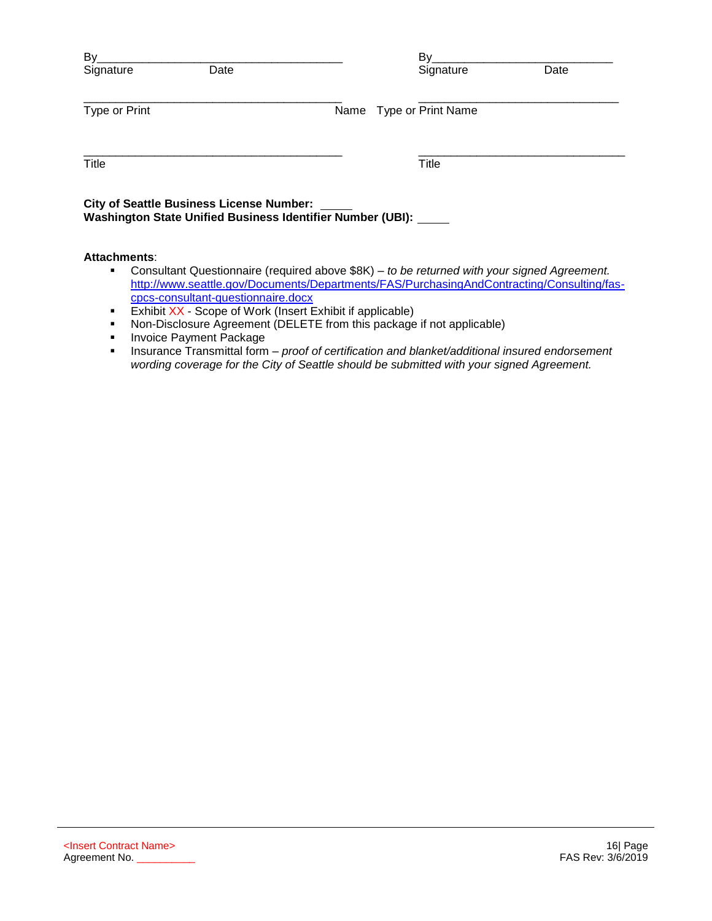| By<br>Date<br>Signature                         | Bv<br>Signature                                            | Date |
|-------------------------------------------------|------------------------------------------------------------|------|
| Type or Print                                   | Name Type or Print Name                                    |      |
| Title                                           | Title                                                      |      |
| <b>City of Seattle Business License Number:</b> | Washington State Unified Business Identifier Number (UBI): |      |
|                                                 |                                                            |      |

# **Attachments**:

- Consultant Questionnaire (required above \$8K) *to be returned with your signed Agreement.*  [http://www.seattle.gov/Documents/Departments/FAS/PurchasingAndContracting/Consulting/fas](http://www.seattle.gov/Documents/Departments/FAS/PurchasingAndContracting/Consulting/fas-cpcs-consultant-questionnaire.docx)[cpcs-consultant-questionnaire.docx](http://www.seattle.gov/Documents/Departments/FAS/PurchasingAndContracting/Consulting/fas-cpcs-consultant-questionnaire.docx)
- **Exhibit XX Scope of Work (Insert Exhibit if applicable)**
- Non-Disclosure Agreement (DELETE from this package if not applicable)
- **■** Invoice Payment Package
- Insurance Transmittal form *proof of certification and blanket/additional insured endorsement wording coverage for the City of Seattle should be submitted with your signed Agreement.*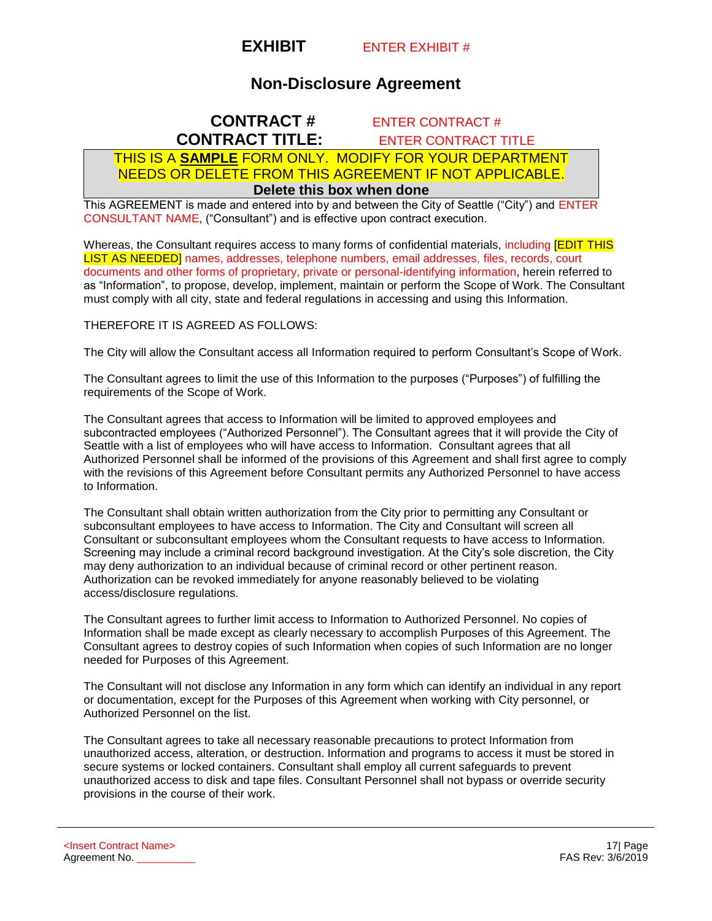

# **Non-Disclosure Agreement**

# **CONTRACT #** ENTER CONTRACT # **CONTRACT TITLE:** ENTER CONTRACT TITLE

# THIS IS A **SAMPLE** FORM ONLY. MODIFY FOR YOUR DEPARTMENT NEEDS OR DELETE FROM THIS AGREEMENT IF NOT APPLICABLE. **Delete this box when done**

This AGREEMENT is made and entered into by and between the City of Seattle ("City") and ENTER CONSULTANT NAME, ("Consultant") and is effective upon contract execution.

Whereas, the Consultant requires access to many forms of confidential materials, including **[EDIT THIS**] LIST AS NEEDED] names, addresses, telephone numbers, email addresses, files, records, court documents and other forms of proprietary, private or personal-identifying information, herein referred to as "Information", to propose, develop, implement, maintain or perform the Scope of Work. The Consultant must comply with all city, state and federal regulations in accessing and using this Information.

#### THEREFORE IT IS AGREED AS FOLLOWS:

The City will allow the Consultant access all Information required to perform Consultant's Scope of Work.

The Consultant agrees to limit the use of this Information to the purposes ("Purposes") of fulfilling the requirements of the Scope of Work.

The Consultant agrees that access to Information will be limited to approved employees and subcontracted employees ("Authorized Personnel"). The Consultant agrees that it will provide the City of Seattle with a list of employees who will have access to Information. Consultant agrees that all Authorized Personnel shall be informed of the provisions of this Agreement and shall first agree to comply with the revisions of this Agreement before Consultant permits any Authorized Personnel to have access to Information.

The Consultant shall obtain written authorization from the City prior to permitting any Consultant or subconsultant employees to have access to Information. The City and Consultant will screen all Consultant or subconsultant employees whom the Consultant requests to have access to Information. Screening may include a criminal record background investigation. At the City's sole discretion, the City may deny authorization to an individual because of criminal record or other pertinent reason. Authorization can be revoked immediately for anyone reasonably believed to be violating access/disclosure regulations.

The Consultant agrees to further limit access to Information to Authorized Personnel. No copies of Information shall be made except as clearly necessary to accomplish Purposes of this Agreement. The Consultant agrees to destroy copies of such Information when copies of such Information are no longer needed for Purposes of this Agreement.

The Consultant will not disclose any Information in any form which can identify an individual in any report or documentation, except for the Purposes of this Agreement when working with City personnel, or Authorized Personnel on the list.

The Consultant agrees to take all necessary reasonable precautions to protect Information from unauthorized access, alteration, or destruction. Information and programs to access it must be stored in secure systems or locked containers. Consultant shall employ all current safeguards to prevent unauthorized access to disk and tape files. Consultant Personnel shall not bypass or override security provisions in the course of their work.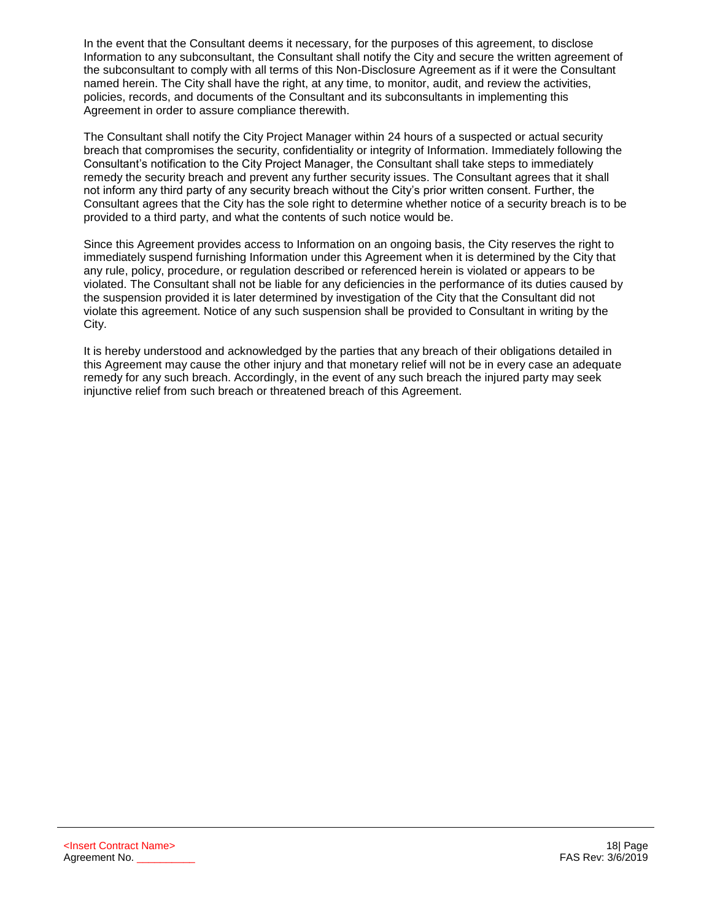In the event that the Consultant deems it necessary, for the purposes of this agreement, to disclose Information to any subconsultant, the Consultant shall notify the City and secure the written agreement of the subconsultant to comply with all terms of this Non-Disclosure Agreement as if it were the Consultant named herein. The City shall have the right, at any time, to monitor, audit, and review the activities, policies, records, and documents of the Consultant and its subconsultants in implementing this Agreement in order to assure compliance therewith.

The Consultant shall notify the City Project Manager within 24 hours of a suspected or actual security breach that compromises the security, confidentiality or integrity of Information. Immediately following the Consultant's notification to the City Project Manager, the Consultant shall take steps to immediately remedy the security breach and prevent any further security issues. The Consultant agrees that it shall not inform any third party of any security breach without the City's prior written consent. Further, the Consultant agrees that the City has the sole right to determine whether notice of a security breach is to be provided to a third party, and what the contents of such notice would be.

Since this Agreement provides access to Information on an ongoing basis, the City reserves the right to immediately suspend furnishing Information under this Agreement when it is determined by the City that any rule, policy, procedure, or regulation described or referenced herein is violated or appears to be violated. The Consultant shall not be liable for any deficiencies in the performance of its duties caused by the suspension provided it is later determined by investigation of the City that the Consultant did not violate this agreement. Notice of any such suspension shall be provided to Consultant in writing by the City.

It is hereby understood and acknowledged by the parties that any breach of their obligations detailed in this Agreement may cause the other injury and that monetary relief will not be in every case an adequate remedy for any such breach. Accordingly, in the event of any such breach the injured party may seek injunctive relief from such breach or threatened breach of this Agreement.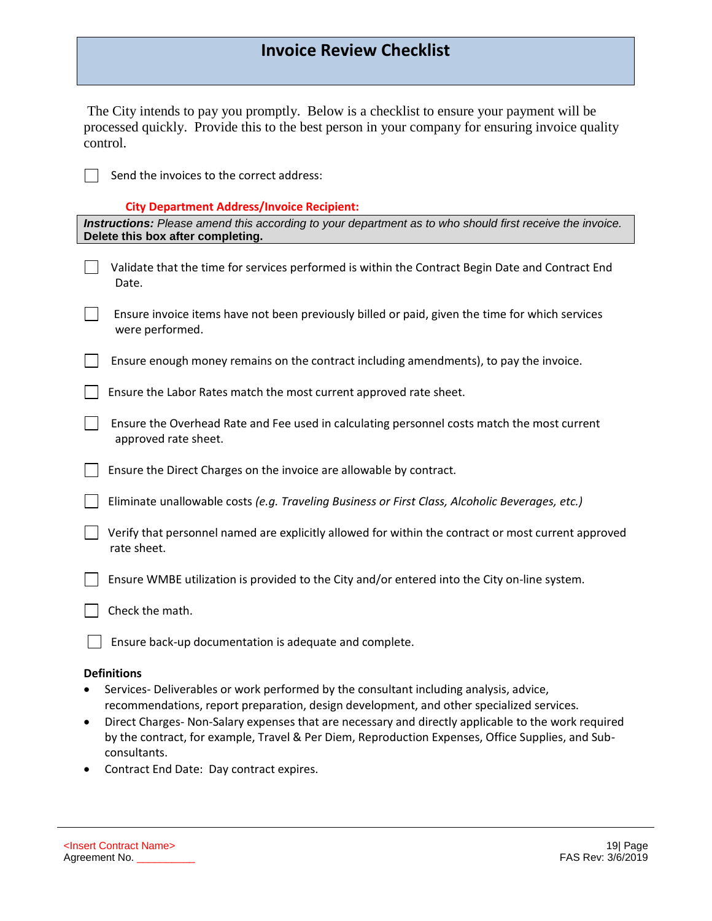# **Invoice Review Checklist**

| The City intends to pay you promptly. Below is a checklist to ensure your payment will be       |
|-------------------------------------------------------------------------------------------------|
| processed quickly. Provide this to the best person in your company for ensuring invoice quality |
| control.                                                                                        |

 $\Box$  Send the invoices to the correct address:

# **City Department Address/Invoice Recipient:**

| City Department Address/Invoice Recipient:<br>Instructions: Please amend this according to your department as to who should first receive the invoice.<br>Delete this box after completing.                                                                                                                                                                                                                              |
|--------------------------------------------------------------------------------------------------------------------------------------------------------------------------------------------------------------------------------------------------------------------------------------------------------------------------------------------------------------------------------------------------------------------------|
| Validate that the time for services performed is within the Contract Begin Date and Contract End<br>Date.                                                                                                                                                                                                                                                                                                                |
| Ensure invoice items have not been previously billed or paid, given the time for which services<br>were performed.                                                                                                                                                                                                                                                                                                       |
| Ensure enough money remains on the contract including amendments), to pay the invoice.                                                                                                                                                                                                                                                                                                                                   |
| Ensure the Labor Rates match the most current approved rate sheet.                                                                                                                                                                                                                                                                                                                                                       |
| Ensure the Overhead Rate and Fee used in calculating personnel costs match the most current<br>approved rate sheet.                                                                                                                                                                                                                                                                                                      |
| Ensure the Direct Charges on the invoice are allowable by contract.                                                                                                                                                                                                                                                                                                                                                      |
| Eliminate unallowable costs (e.g. Traveling Business or First Class, Alcoholic Beverages, etc.)                                                                                                                                                                                                                                                                                                                          |
| Verify that personnel named are explicitly allowed for within the contract or most current approved<br>rate sheet.                                                                                                                                                                                                                                                                                                       |
| Ensure WMBE utilization is provided to the City and/or entered into the City on-line system.                                                                                                                                                                                                                                                                                                                             |
| Check the math.                                                                                                                                                                                                                                                                                                                                                                                                          |
| Ensure back-up documentation is adequate and complete.                                                                                                                                                                                                                                                                                                                                                                   |
| <b>Definitions</b><br>Services- Deliverables or work performed by the consultant including analysis, advice,<br>recommendations, report preparation, design development, and other specialized services.<br>Direct Charges-Non-Salary expenses that are necessary and directly applicable to the work required<br>٠<br>by the contract, for example, Travel & Per Diem, Reproduction Expenses, Office Supplies, and Sub- |

consultants. • Contract End Date: Day contract expires.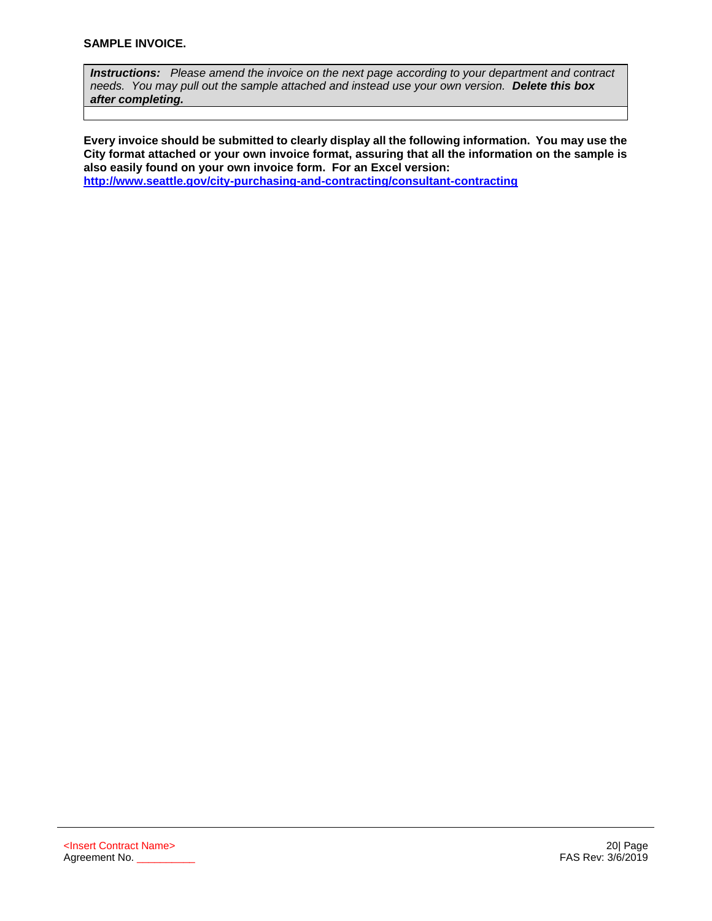*Instructions: Please amend the invoice on the next page according to your department and contract needs. You may pull out the sample attached and instead use your own version. Delete this box after completing.* 

**Every invoice should be submitted to clearly display all the following information. You may use the City format attached or your own invoice format, assuring that all the information on the sample is also easily found on your own invoice form. For an Excel version: <http://www.seattle.gov/city-purchasing-and-contracting/consultant-contracting>**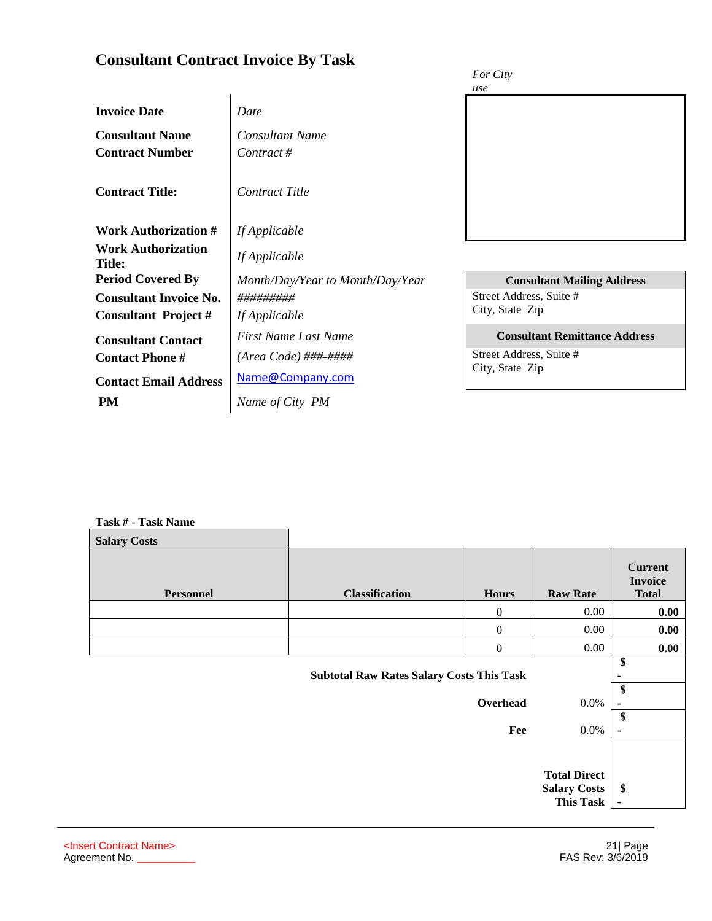|                                            |                                  | For City                             |
|--------------------------------------------|----------------------------------|--------------------------------------|
|                                            |                                  | use                                  |
| <b>Invoice Date</b>                        | Date                             |                                      |
| <b>Consultant Name</b>                     | <b>Consultant Name</b>           |                                      |
| <b>Contract Number</b>                     | Contract #                       |                                      |
| <b>Contract Title:</b>                     | <b>Contract Title</b>            |                                      |
| <b>Work Authorization #</b>                | If Applicable                    |                                      |
| <b>Work Authorization</b><br><b>Title:</b> | If Applicable                    |                                      |
| <b>Period Covered By</b>                   | Month/Day/Year to Month/Day/Year | <b>Consultant Mailing Address</b>    |
| <b>Consultant Invoice No.</b>              | #########                        | Street Address, Suite #              |
| <b>Consultant Project #</b>                | If Applicable                    | City, State Zip                      |
| <b>Consultant Contact</b>                  | First Name Last Name             | <b>Consultant Remittance Address</b> |
| <b>Contact Phone #</b>                     | $(Area Code) \# \# \# \# \# \#$  | Street Address, Suite #              |
| <b>Contact Email Address</b>               | Name@Company.com                 | City, State Zip                      |
| <b>PM</b>                                  | Name of City PM                  |                                      |

#### **Task # - Task Name**

**Consultant Contract Invoice By Task**

| <b>Salary Costs</b> |                                                  |                 |                                                                |                                                         |
|---------------------|--------------------------------------------------|-----------------|----------------------------------------------------------------|---------------------------------------------------------|
| <b>Personnel</b>    | <b>Classification</b>                            | <b>Hours</b>    | <b>Raw Rate</b>                                                | <b>Current</b><br><b>Invoice</b><br><b>Total</b>        |
|                     |                                                  | $\theta$        | 0.00                                                           | 0.00                                                    |
|                     |                                                  | 0               | 0.00                                                           | 0.00                                                    |
|                     |                                                  | $\overline{0}$  | 0.00                                                           | 0.00                                                    |
|                     | <b>Subtotal Raw Rates Salary Costs This Task</b> | Overhead<br>Fee | $0.0\%$<br>$0.0\%$                                             | \$<br>$\blacksquare$<br>\$<br>$\blacksquare$<br>\$<br>٠ |
|                     |                                                  |                 | <b>Total Direct</b><br><b>Salary Costs</b><br><b>This Task</b> | \$<br>$\blacksquare$                                    |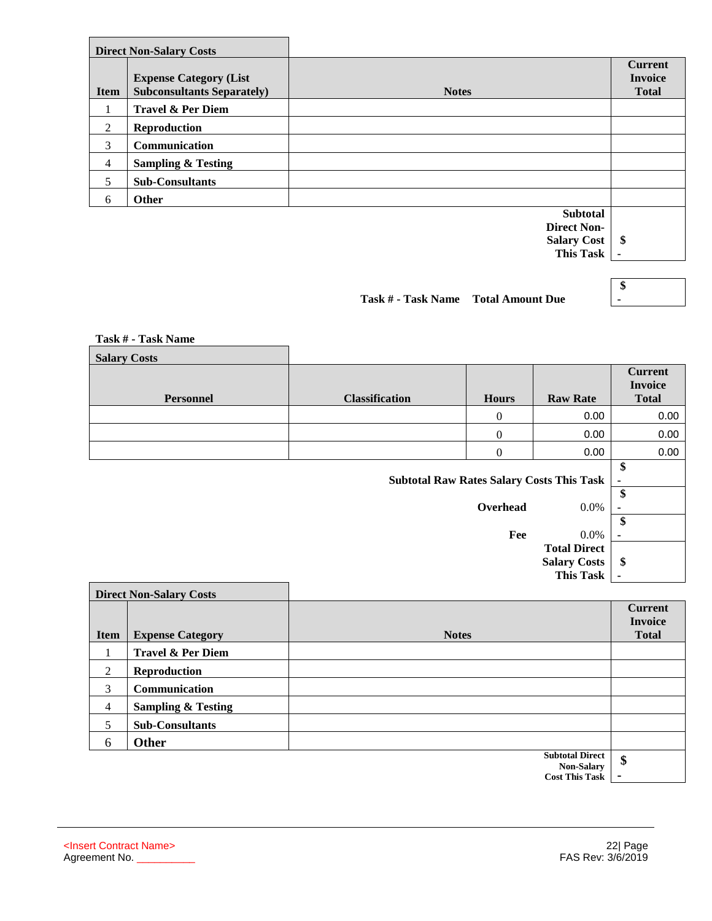|                | <b>Direct Non-Salary Costs</b>                                     |                                       |                                                  |
|----------------|--------------------------------------------------------------------|---------------------------------------|--------------------------------------------------|
| <b>Item</b>    | <b>Expense Category (List</b><br><b>Subconsultants Separately)</b> | <b>Notes</b>                          | <b>Current</b><br><b>Invoice</b><br><b>Total</b> |
|                | <b>Travel &amp; Per Diem</b>                                       |                                       |                                                  |
| 2              | <b>Reproduction</b>                                                |                                       |                                                  |
| 3              | Communication                                                      |                                       |                                                  |
| $\overline{4}$ | <b>Sampling &amp; Testing</b>                                      |                                       |                                                  |
| 5              | <b>Sub-Consultants</b>                                             |                                       |                                                  |
| 6              | Other                                                              |                                       |                                                  |
|                |                                                                    | <b>Subtotal</b><br><b>Direct Non-</b> |                                                  |

**Salary Cost This Task \$ -** 

**Task # - Task Name Total Amount Due**

**\$ -** 

| Task # - Task Name  |                                                  |              |                     |                                                  |
|---------------------|--------------------------------------------------|--------------|---------------------|--------------------------------------------------|
| <b>Salary Costs</b> |                                                  |              |                     |                                                  |
| <b>Personnel</b>    | <b>Classification</b>                            | <b>Hours</b> | <b>Raw Rate</b>     | <b>Current</b><br><b>Invoice</b><br><b>Total</b> |
|                     |                                                  | $\mathbf{0}$ | 0.00                | 0.00                                             |
|                     |                                                  | 0            | 0.00                | 0.00                                             |
|                     |                                                  | 0            | 0.00                | 0.00                                             |
|                     | <b>Subtotal Raw Rates Salary Costs This Task</b> |              |                     | \$                                               |
|                     |                                                  | Overhead     | $0.0\%$             | \$<br>۰                                          |
|                     |                                                  | Fee          | $0.0\%$             | \$<br>٠                                          |
|                     |                                                  |              | <b>Total Direct</b> |                                                  |

|                |                                | <b>This Task</b>                     |                                                  |
|----------------|--------------------------------|--------------------------------------|--------------------------------------------------|
|                | <b>Direct Non-Salary Costs</b> |                                      |                                                  |
| <b>Item</b>    | <b>Expense Category</b>        | <b>Notes</b>                         | <b>Current</b><br><b>Invoice</b><br><b>Total</b> |
|                | <b>Travel &amp; Per Diem</b>   |                                      |                                                  |
| 2              | <b>Reproduction</b>            |                                      |                                                  |
| 3              | Communication                  |                                      |                                                  |
| $\overline{4}$ | <b>Sampling &amp; Testing</b>  |                                      |                                                  |
| 5              | <b>Sub-Consultants</b>         |                                      |                                                  |
| 6              | Other                          |                                      |                                                  |
|                |                                | <b>Subtotal Direct</b><br>Non Colomy | \$                                               |

**Non-Salary Cost This Task -** 

**Salary Costs** 

**\$**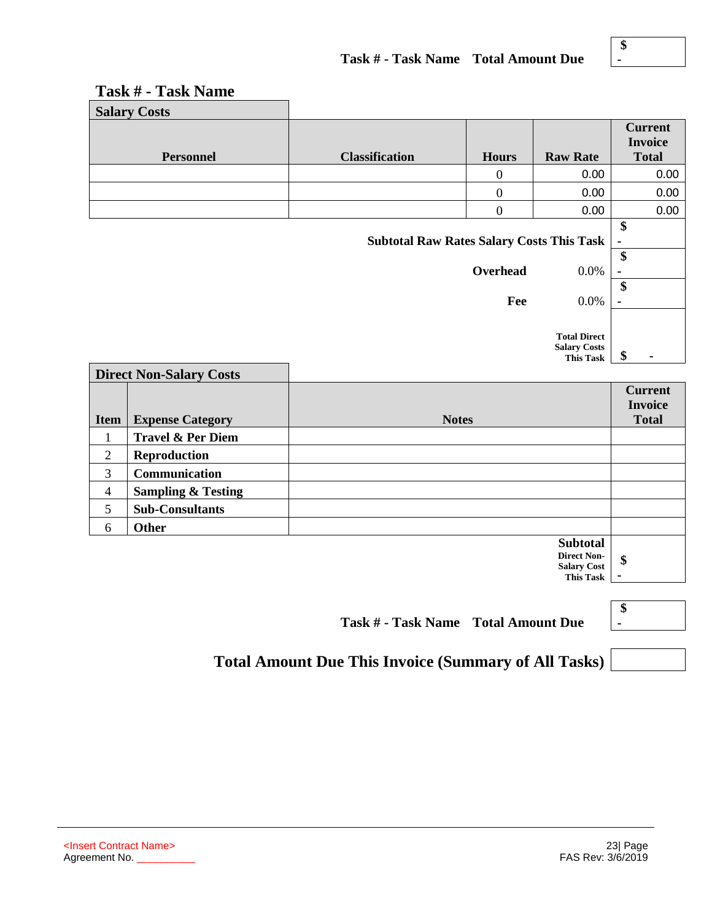| <b>Salary Costs</b>                              |                       |                |                 |                                                  |
|--------------------------------------------------|-----------------------|----------------|-----------------|--------------------------------------------------|
| <b>Personnel</b>                                 | <b>Classification</b> | <b>Hours</b>   | <b>Raw Rate</b> | <b>Current</b><br><b>Invoice</b><br><b>Total</b> |
|                                                  |                       | 0              | 0.00            | 0.00                                             |
|                                                  |                       | $\overline{0}$ | 0.00            | 0.00                                             |
|                                                  |                       | $\Omega$       | 0.00            | 0.00                                             |
| <b>Subtotal Raw Rates Salary Costs This Task</b> |                       |                |                 |                                                  |
|                                                  |                       | Overhead       | 0.0%            | ۰<br>\$                                          |
|                                                  |                       | Fee            | 0.0%            | $\blacksquare$                                   |
|                                                  |                       |                | Total Dinoot    |                                                  |

# **Task # - Task Name**

**Total Direct** 

**Salary Costs**   $\frac{\text{max}}{\text{This Task}}$  \$

| <b>Direct Non-Salary Costs</b> |                               |                 |                |
|--------------------------------|-------------------------------|-----------------|----------------|
|                                |                               |                 | <b>Current</b> |
|                                |                               |                 | <b>Invoice</b> |
| <b>Item</b>                    | <b>Expense Category</b>       | <b>Notes</b>    | <b>Total</b>   |
|                                | Travel & Per Diem             |                 |                |
| 2                              | <b>Reproduction</b>           |                 |                |
| 3                              | <b>Communication</b>          |                 |                |
| $\overline{4}$                 | <b>Sampling &amp; Testing</b> |                 |                |
| 5                              | <b>Sub-Consultants</b>        |                 |                |
| 6                              | <b>Other</b>                  |                 |                |
|                                |                               | <b>Subtotal</b> |                |

**Direct Non-Salary Cost This Task -** 

**Task # - Task Name Total Amount Due**

| ъ |  |  |
|---|--|--|
|   |  |  |
|   |  |  |

**\$** 

**Total Amount Due This Invoice (Summary of All Tasks)**